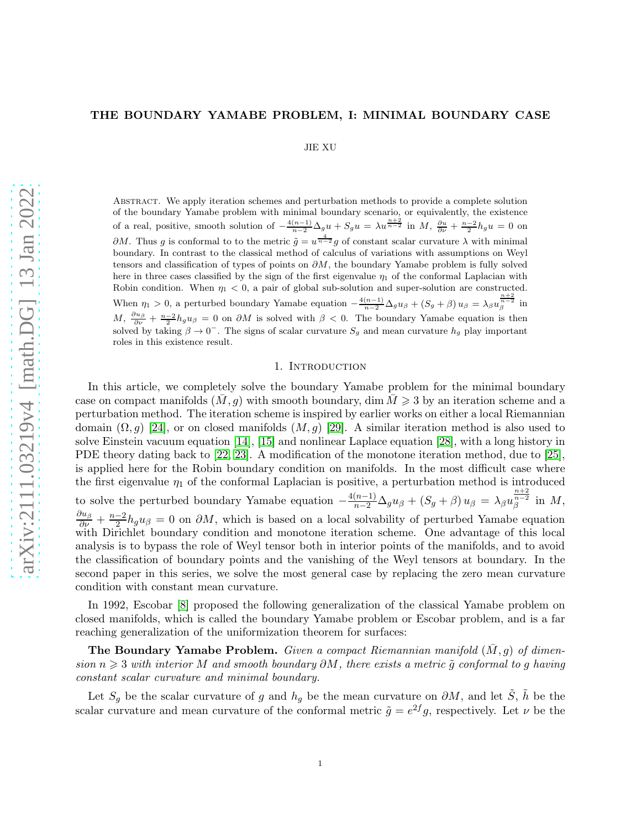## THE BOUNDARY YAMABE PROBLEM, I: MINIMAL BOUNDARY CASE

JIE XU

Abstract. We apply iteration schemes and perturbation methods to provide a complete solution of the boundary Yamabe problem with minimal boundary scenario, or equivalently, the existence of a real, positive, smooth solution of  $-\frac{4(n-1)}{n-2}\Delta_g u + S_g u = \lambda u^{\frac{n+2}{n-2}}$  in  $M$ ,  $\frac{\partial u}{\partial \nu} + \frac{n-2}{2}h_g u = 0$  on  $\partial M$ . Thus g is conformal to to the metric  $\tilde{g} = u^{\frac{4}{n-2}}g$  of constant scalar curvature  $\lambda$  with minimal boundary. In contrast to the classical method of calculus of variations with assumptions on Weyl tensors and classification of types of points on  $\partial M$ , the boundary Yamabe problem is fully solved here in three cases classified by the sign of the first eigenvalue  $\eta_1$  of the conformal Laplacian with Robin condition. When  $\eta_1 < 0$ , a pair of global sub-solution and super-solution are constructed. When  $\eta_1 > 0$ , a perturbed boundary Yamabe equation  $-\frac{4(n-1)}{n-2}\Delta_g u_\beta + (S_g + \beta) u_\beta = \lambda_\beta u_\beta^{\frac{n+2}{n-2}}$  in  $M, \frac{\partial u_{\beta}}{\partial \nu} + \frac{n-2}{2} h_g u_{\beta} = 0$  on  $\partial M$  is solved with  $\beta < 0$ . The boundary Yamabe equation is then solved by taking  $\beta \to 0^-$ . The signs of scalar curvature  $S_g$  and mean curvature  $h_g$  play important roles in this existence result.

### 1. Introduction

In this article, we completely solve the boundary Yamabe problem for the minimal boundary case on compact manifolds  $(M, g)$  with smooth boundary, dim  $M \geq 3$  by an iteration scheme and a perturbation method. The iteration scheme is inspired by earlier works on either a local Riemannian domain  $(\Omega, g)$  [\[24\]](#page-24-0), or on closed manifolds  $(M, g)$  [\[29\]](#page-24-1). A similar iteration method is also used to solve Einstein vacuum equation [\[14\]](#page-24-2), [\[15\]](#page-24-3) and nonlinear Laplace equation [\[28\]](#page-24-4), with a long history in PDE theory dating back to [\[22,](#page-24-5) [23\]](#page-24-6). A modification of the monotone iteration method, due to [\[25\]](#page-24-7), is applied here for the Robin boundary condition on manifolds. In the most difficult case where the first eigenvalue  $\eta_1$  of the conformal Laplacian is positive, a perturbation method is introduced to solve the perturbed boundary Yamabe equation  $-\frac{4(n-1)}{n-2}\Delta_g u_\beta + (S_g + \beta) u_\beta = \lambda_\beta u_\beta^{\frac{n+2}{n-2}}$  $\int_{\beta}^{n-2}$  in  $M$ ,  $\frac{\partial u_{\beta}}{\partial \nu} + \frac{n-2}{2}$  $\frac{-2}{2}h_g u_\beta = 0$  on  $\partial M$ , which is based on a local solvability of perturbed Yamabe equation with Dirichlet boundary condition and monotone iteration scheme. One advantage of this local analysis is to bypass the role of Weyl tensor both in interior points of the manifolds, and to avoid the classification of boundary points and the vanishing of the Weyl tensors at boundary. In the second paper in this series, we solve the most general case by replacing the zero mean curvature condition with constant mean curvature.

In 1992, Escobar [\[8\]](#page-24-8) proposed the following generalization of the classical Yamabe problem on closed manifolds, which is called the boundary Yamabe problem or Escobar problem, and is a far reaching generalization of the uniformization theorem for surfaces:

The Boundary Yamabe Problem. Given a compact Riemannian manifold  $(\bar{M}, g)$  of dimension  $n \geqslant 3$  with interior M and smooth boundary  $\partial M$ , there exists a metric  $\tilde{g}$  conformal to g having constant scalar curvature and minimal boundary.

Let  $S_g$  be the scalar curvature of g and  $h_g$  be the mean curvature on  $\partial M$ , and let  $\tilde{S}$ ,  $\tilde{h}$  be the scalar curvature and mean curvature of the conformal metric  $\tilde{g} = e^{2f}g$ , respectively. Let  $\nu$  be the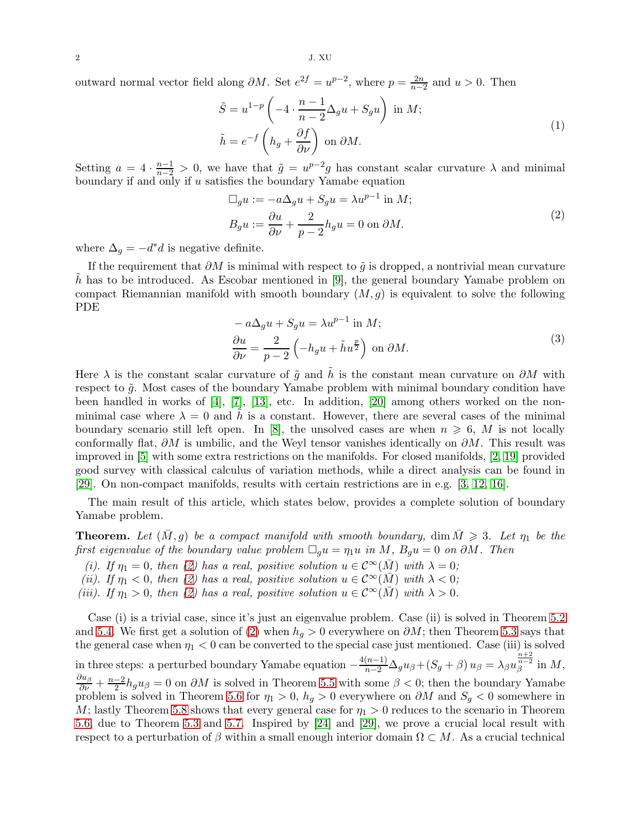outward normal vector field along  $\partial M$ . Set  $e^{2f} = u^{p-2}$ , where  $p = \frac{2n}{n-1}$  $\frac{2n}{n-2}$  and  $u > 0$ . Then

$$
\tilde{S} = u^{1-p} \left( -4 \cdot \frac{n-1}{n-2} \Delta_g u + S_g u \right) \text{ in } M; \n\tilde{h} = e^{-f} \left( h_g + \frac{\partial f}{\partial \nu} \right) \text{ on } \partial M.
$$
\n(1)

Setting  $a = 4 \cdot \frac{n-1}{n-2} > 0$ , we have that  $\tilde{g} = u^{p-2}g$  has constant scalar curvature  $\lambda$  and minimal boundary if and only if  $u$  satisfies the boundary Yamabe equation

$$
\Box_g u := -a\Delta_g u + S_g u = \lambda u^{p-1} \text{ in } M; \nB_g u := \frac{\partial u}{\partial \nu} + \frac{2}{p-2} h_g u = 0 \text{ on } \partial M.
$$
\n(2)

<span id="page-1-0"></span>where  $\Delta_g = -d^*d$  is negative definite.

If the requirement that  $\partial M$  is minimal with respect to  $\tilde{g}$  is dropped, a nontrivial mean curvature h has to be introduced. As Escobar mentioned in  $[9]$ , the general boundary Yamabe problem on compact Riemannian manifold with smooth boundary  $(M, g)$  is equivalent to solve the following PDE

$$
-a\Delta_{g}u + S_{g}u = \lambda u^{p-1} \text{ in } M; \frac{\partial u}{\partial \nu} = \frac{2}{p-2} \left( -h_{g}u + \tilde{h}u^{\frac{p}{2}} \right) \text{ on } \partial M.
$$
\n(3)

Here  $\lambda$  is the constant scalar curvature of  $\tilde{g}$  and  $\tilde{h}$  is the constant mean curvature on  $\partial M$  with respect to  $\tilde{g}$ . Most cases of the boundary Yamabe problem with minimal boundary condition have been handled in works of  $[4]$ ,  $[7]$ ,  $[13]$ , etc. In addition,  $[20]$  among others worked on the nonminimal case where  $\lambda = 0$  and h is a constant. However, there are several cases of the minimal boundary scenario still left open. In [\[8\]](#page-24-8), the unsolved cases are when  $n \geq 6$ , M is not locally conformally flat,  $\partial M$  is umbilic, and the Weyl tensor vanishes identically on  $\partial M$ . This result was improved in [\[5\]](#page-24-14) with some extra restrictions on the manifolds. For closed manifolds, [\[2,](#page-24-15) [19\]](#page-24-16) provided good survey with classical calculus of variation methods, while a direct analysis can be found in [\[29\]](#page-24-1). On non-compact manifolds, results with certain restrictions are in e.g. [\[3,](#page-24-17) [12,](#page-24-18) [16\]](#page-24-19).

The main result of this article, which states below, provides a complete solution of boundary Yamabe problem.

**Theorem.** Let  $(M, g)$  be a compact manifold with smooth boundary, dim  $M \geq 3$ . Let  $\eta_1$  be the first eigenvalue of the boundary value problem  $\Box_q u = \eta_1 u$  in M,  $B_q u = 0$  on  $\partial M$ . Then

- (i). If  $\eta_1 = 0$ , then [\(2\)](#page-1-0) has a real, positive solution  $u \in C^{\infty}(\overline{M})$  with  $\lambda = 0$ ;
- (ii). If  $\eta_1 < 0$ , then [\(2\)](#page-1-0) has a real, positive solution  $u \in C^{\infty}(\overline{M})$  with  $\lambda < 0$ ;
- (iii). If  $\eta_1 > 0$ , then [\(2\)](#page-1-0) has a real, positive solution  $u \in C^{\infty}(\overline{M})$  with  $\lambda > 0$ .

Case (i) is a trivial case, since it's just an eigenvalue problem. Case (ii) is solved in Theorem [5.2](#page-13-0) and [5.4.](#page-16-0) We first get a solution of [\(2\)](#page-1-0) when  $h<sub>g</sub> > 0$  everywhere on  $\partial M$ ; then Theorem [5.3](#page-15-0) says that the general case when  $\eta_1 < 0$  can be converted to the special case just mentioned. Case (iii) is solved in three steps: a perturbed boundary Yamabe equation  $-\frac{4(n-1)}{n-2}\Delta_g u_{\beta} + (S_g + \beta) u_{\beta} = \lambda_{\beta} u_{\beta}^{\frac{n+2}{n-2}}$  $\int_{\beta}^{n-2}$  in  $M$ ,  $\frac{\partial u_{\beta}}{\partial \nu}+\frac{n-2}{2}$  $\frac{-2}{2}h_g u_\beta = 0$  on  $\partial M$  is solved in Theorem [5.5](#page-16-1) with some  $\beta < 0$ ; then the boundary Yamabe problem is solved in Theorem [5.6](#page-18-0) for  $\eta_1 > 0$ ,  $h_g > 0$  everywhere on  $\partial M$  and  $S_g < 0$  somewhere in M; lastly Theorem [5.8](#page-23-0) shows that every general case for  $\eta_1 > 0$  reduces to the scenario in Theorem [5.6,](#page-18-0) due to Theorem [5.3](#page-15-0) and [5.7.](#page-22-0) Inspired by [\[24\]](#page-24-0) and [\[29\]](#page-24-1), we prove a crucial local result with respect to a perturbation of  $\beta$  within a small enough interior domain  $\Omega \subset M$ . As a crucial technical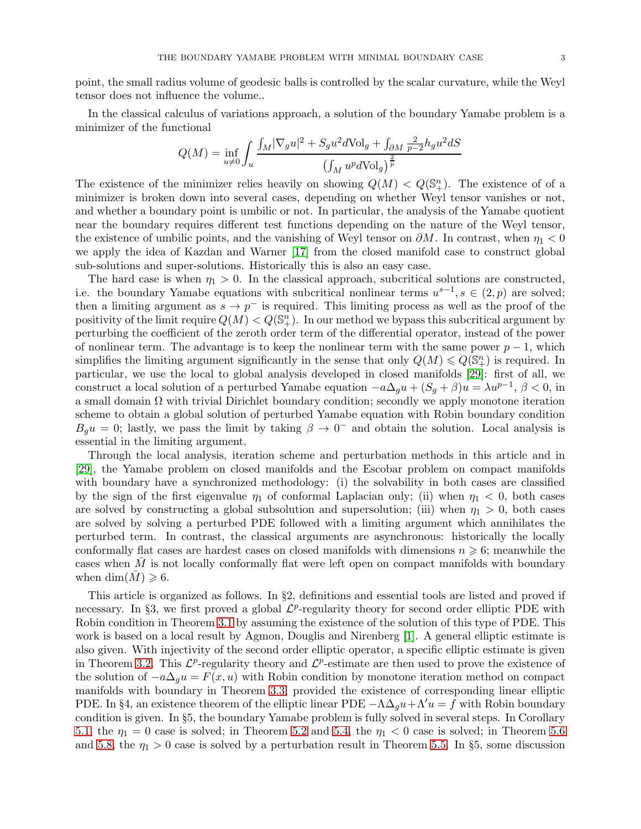point, the small radius volume of geodesic balls is controlled by the scalar curvature, while the Weyl tensor does not influence the volume..

In the classical calculus of variations approach, a solution of the boundary Yamabe problem is a minimizer of the functional

$$
Q(M) = \inf_{u \neq 0} \int_u \frac{\int_M |\nabla_g u|^2 + S_g u^2 d\text{Vol}_g + \int_{\partial M} \frac{2}{p-2} h_g u^2 dS}{\left(\int_M u^p d\text{Vol}_g\right)^{\frac{2}{p}}}
$$

The existence of the minimizer relies heavily on showing  $Q(M) < Q(\mathbb{S}_{+}^{n})$ . The existence of of a minimizer is broken down into several cases, depending on whether Weyl tensor vanishes or not, and whether a boundary point is umbilic or not. In particular, the analysis of the Yamabe quotient near the boundary requires different test functions depending on the nature of the Weyl tensor, the existence of umbilic points, and the vanishing of Weyl tensor on  $\partial M$ . In contrast, when  $\eta_1 < 0$ we apply the idea of Kazdan and Warner [\[17\]](#page-24-20) from the closed manifold case to construct global sub-solutions and super-solutions. Historically this is also an easy case.

The hard case is when  $\eta_1 > 0$ . In the classical approach, subcritical solutions are constructed, i.e. the boundary Yamabe equations with subcritical nonlinear terms  $u^{s-1}, s \in (2, p)$  are solved; then a limiting argument as  $s \to p^-$  is required. This limiting process as well as the proof of the positivity of the limit require  $Q(M) < Q(\mathbb{S}_{+}^{n})$ . In our method we bypass this subcritical argument by perturbing the coefficient of the zeroth order term of the differential operator, instead of the power of nonlinear term. The advantage is to keep the nonlinear term with the same power  $p-1$ , which simplifies the limiting argument significantly in the sense that only  $Q(M) \leq Q(\mathbb{S}_{+}^{n})$  is required. In particular, we use the local to global analysis developed in closed manifolds [\[29\]](#page-24-1): first of all, we construct a local solution of a perturbed Yamabe equation  $-a\Delta_g u + (S_g + \beta)u = \lambda u^{p-1}, \beta < 0$ , in a small domain  $\Omega$  with trivial Dirichlet boundary condition; secondly we apply monotone iteration scheme to obtain a global solution of perturbed Yamabe equation with Robin boundary condition  $B_g u = 0$ ; lastly, we pass the limit by taking  $\beta \to 0^-$  and obtain the solution. Local analysis is essential in the limiting argument.

Through the local analysis, iteration scheme and perturbation methods in this article and in [\[29\]](#page-24-1), the Yamabe problem on closed manifolds and the Escobar problem on compact manifolds with boundary have a synchronized methodology: (i) the solvability in both cases are classified by the sign of the first eigenvalue  $\eta_1$  of conformal Laplacian only; (ii) when  $\eta_1 < 0$ , both cases are solved by constructing a global subsolution and supersolution; (iii) when  $\eta_1 > 0$ , both cases are solved by solving a perturbed PDE followed with a limiting argument which annihilates the perturbed term. In contrast, the classical arguments are asynchronous: historically the locally conformally flat cases are hardest cases on closed manifolds with dimensions  $n \geq 6$ ; meanwhile the cases when  $M$  is not locally conformally flat were left open on compact manifolds with boundary when dim $(M) \geq 6$ .

This article is organized as follows. In §2, definitions and essential tools are listed and proved if necessary. In §3, we first proved a global  $\mathcal{L}^p$ -regularity theory for second order elliptic PDE with Robin condition in Theorem [3.1](#page-6-0) by assuming the existence of the solution of this type of PDE. This work is based on a local result by Agmon, Douglis and Nirenberg [\[1\]](#page-24-21). A general elliptic estimate is also given. With injectivity of the second order elliptic operator, a specific elliptic estimate is given in Theorem [3.2.](#page-8-0) This  $\mathcal{L}^p$ -regularity theory and  $\mathcal{L}^p$ -estimate are then used to prove the existence of the solution of  $-a\Delta_{g}u = F(x, u)$  with Robin condition by monotone iteration method on compact manifolds with boundary in Theorem [3.3,](#page-9-0) provided the existence of corresponding linear elliptic PDE. In §4, an existence theorem of the elliptic linear PDE  $-\Lambda\Delta_q u + \Lambda' u = f$  with Robin boundary condition is given. In §5, the boundary Yamabe problem is fully solved in several steps. In Corollary [5.1,](#page-13-1) the  $\eta_1 = 0$  case is solved; in Theorem [5.2](#page-13-0) and [5.4,](#page-16-0) the  $\eta_1 < 0$  case is solved; in Theorem [5.6](#page-18-0) and [5.8,](#page-23-0) the  $\eta_1 > 0$  case is solved by a perturbation result in Theorem [5.5.](#page-16-1) In §5, some discussion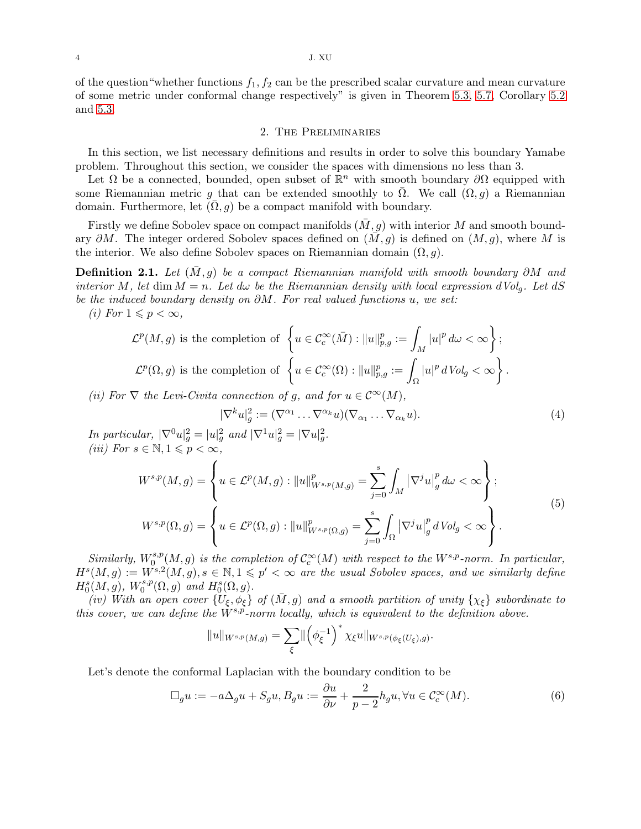4 J. XU

of the question "whether functions  $f_1, f_2$  can be the prescribed scalar curvature and mean curvature of some metric under conformal change respectively" is given in Theorem [5.3,](#page-15-0) [5.7,](#page-22-0) Corollary [5.2](#page-15-1) and [5.3.](#page-23-1)

### 2. The Preliminaries

In this section, we list necessary definitions and results in order to solve this boundary Yamabe problem. Throughout this section, we consider the spaces with dimensions no less than 3.

Let  $\Omega$  be a connected, bounded, open subset of  $\mathbb{R}^n$  with smooth boundary  $\partial\Omega$  equipped with some Riemannian metric g that can be extended smoothly to  $\Omega$ . We call  $(\Omega, g)$  a Riemannian domain. Furthermore, let  $(\Omega, g)$  be a compact manifold with boundary.

Firstly we define Sobolev space on compact manifolds  $(M, q)$  with interior M and smooth boundary  $\partial M$ . The integer ordered Sobolev spaces defined on  $(M, g)$  is defined on  $(M, g)$ , where M is the interior. We also define Sobolev spaces on Riemannian domain  $(\Omega, g)$ .

**Definition 2.1.** Let  $(M, g)$  be a compact Riemannian manifold with smooth boundary ∂M and interior M, let dim  $M = n$ . Let  $d\omega$  be the Riemannian density with local expression  $dVol_q$ . Let  $dS$ be the induced boundary density on ∂M. For real valued functions u, we set:

(i) For  $1 \leqslant p < \infty$ ,

$$
\mathcal{L}^p(M,g) \text{ is the completion of } \left\{ u \in \mathcal{C}_c^{\infty}(\bar{M}) : \|u\|_{p,g}^p := \int_M |u|^p d\omega < \infty \right\};
$$
  

$$
\mathcal{L}^p(\Omega,g) \text{ is the completion of } \left\{ u \in \mathcal{C}_c^{\infty}(\Omega) : \|u\|_{p,g}^p := \int_{\Omega} |u|^p dVol_g < \infty \right\}.
$$

(ii) For  $\nabla$  the Levi-Civita connection of g, and for  $u \in C^{\infty}(M)$ ,

$$
|\nabla^k u|_g^2 := (\nabla^{\alpha_1} \dots \nabla^{\alpha_k} u)(\nabla_{\alpha_1} \dots \nabla_{\alpha_k} u).
$$
\n(4)

In particular,  $|\nabla^0 u|_g^2 = |u|_g^2$  and  $|\nabla^1 u|_g^2 = |\nabla u|_g^2$ . (iii) For  $s \in \mathbb{N}, 1 \leqslant p < \infty$ ,

$$
W^{s,p}(M,g) = \left\{ u \in \mathcal{L}^p(M,g) : ||u||_{W^{s,p}(M,g)}^p = \sum_{j=0}^s \int_M |\nabla^j u|_g^p d\omega < \infty \right\};
$$
  

$$
W^{s,p}(\Omega,g) = \left\{ u \in \mathcal{L}^p(\Omega,g) : ||u||_{W^{s,p}(\Omega,g)}^p = \sum_{j=0}^s \int_{\Omega} |\nabla^j u|_g^p dVol_g < \infty \right\}.
$$
  
(5)

Similarly,  $W_0^{s,p}$  $\int_0^{s,p}(M,g)$  is the completion of  $\mathcal{C}_c^{\infty}(M)$  with respect to the  $W^{s,p}$ -norm. In particular,  $H^s(M,g) := W^{s,2}(M,g), s \in \mathbb{N}, 1 \leqslant p' < \infty$  are the usual Sobolev spaces, and we similarly define  $H_0^{s}(M,g), W_0^{s,p}$  $L_0^{s,p}(\Omega,g)$  and  $H_0^s(\Omega,g)$ .

(iv) With an open cover  $\{U_{\xi}, \phi_{\xi}\}\$  of  $(\bar{M}, g)$  and a smooth partition of unity  $\{\chi_{\xi}\}\$  subordinate to this cover, we can define the  $W^{s,p}$ -norm locally, which is equivalent to the definition above.

$$
||u||_{W^{s,p}(M,g)} = \sum_{\xi} ||\left(\phi_{\xi}^{-1}\right)^* \chi_{\xi} u||_{W^{s,p}(\phi_{\xi}(U_{\xi}),g)}.
$$

Let's denote the conformal Laplacian with the boundary condition to be

$$
\Box_g u := -a\Delta_g u + S_g u, B_g u := \frac{\partial u}{\partial \nu} + \frac{2}{p-2} h_g u, \forall u \in C_c^{\infty}(M).
$$
 (6)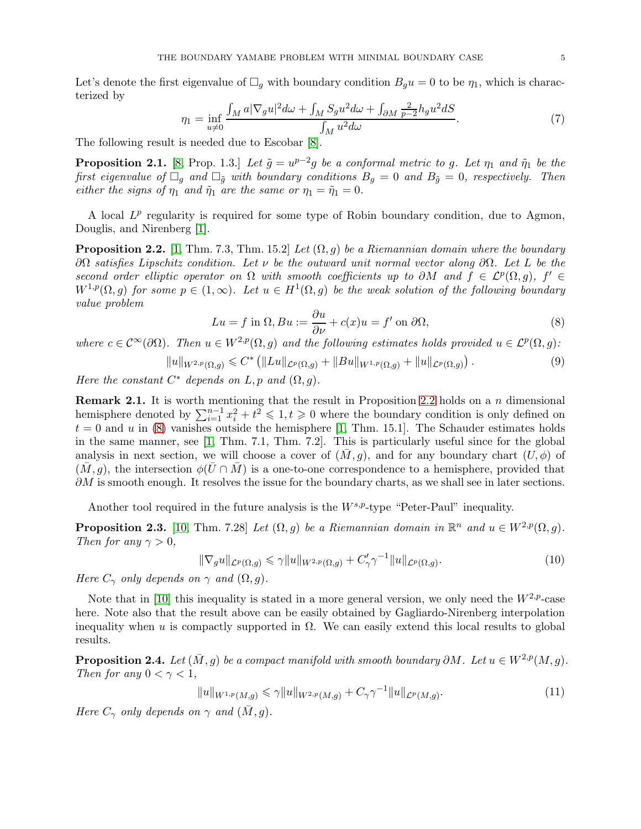Let's denote the first eigenvalue of  $\Box_g$  with boundary condition  $B_g u = 0$  to be  $\eta_1$ , which is characterized by

$$
\eta_1 = \inf_{u \neq 0} \frac{\int_M a |\nabla_g u|^2 d\omega + \int_M S_g u^2 d\omega + \int_{\partial M} \frac{2}{p-2} h_g u^2 dS}{\int_M u^2 d\omega}.\tag{7}
$$

The following result is needed due to Escobar [\[8\]](#page-24-8).

<span id="page-4-3"></span>**Proposition 2.1.** [\[8,](#page-24-8) Prop. 1.3.] Let  $\tilde{g} = u^{p-2}g$  be a conformal metric to g. Let  $\eta_1$  and  $\tilde{\eta}_1$  be the first eigenvalue of  $\Box_g$  and  $\Box_{\tilde{g}}$  with boundary conditions  $B_g = 0$  and  $B_{\tilde{g}} = 0$ , respectively. Then either the signs of  $\eta_1$  and  $\tilde{\eta}_1$  are the same or  $\eta_1 = \tilde{\eta}_1 = 0$ .

A local  $L^p$  regularity is required for some type of Robin boundary condition, due to Agmon, Douglis, and Nirenberg [\[1\]](#page-24-21).

<span id="page-4-0"></span>**Proposition 2.2.** [\[1,](#page-24-21) Thm. 7.3, Thm. 15.2] Let  $(\Omega, g)$  be a Riemannian domain where the boundary  $\partial Ω$  satisfies Lipschitz condition. Let ν be the outward unit normal vector along  $\partial Ω$ . Let L be the second order elliptic operator on  $\Omega$  with smooth coefficients up to  $\partial M$  and  $f \in \mathcal{L}^p(\Omega,g)$ ,  $f' \in$  $W^{1,p}(\Omega,g)$  for some  $p\in (1,\infty)$ . Let  $u\in H^1(\Omega,g)$  be the weak solution of the following boundary value problem

<span id="page-4-1"></span>
$$
Lu = f \text{ in } \Omega, Bu := \frac{\partial u}{\partial \nu} + c(x)u = f' \text{ on } \partial \Omega,
$$
\n(8)

where  $c \in C^{\infty}(\partial \Omega)$ . Then  $u \in W^{2,p}(\Omega, g)$  and the following estimates holds provided  $u \in \mathcal{L}^p(\Omega, g)$ :

$$
||u||_{W^{2,p}(\Omega,g)} \leq C^* (||Lu||_{\mathcal{L}^p(\Omega,g)} + ||Bu||_{W^{1,p}(\Omega,g)} + ||u||_{\mathcal{L}^p(\Omega,g)}) .
$$
\n(9)

Here the constant  $C^*$  depends on  $L, p$  and  $(\Omega, g)$ .

<span id="page-4-2"></span>**Remark 2.1.** It is worth mentioning that the result in Proposition [2.2](#page-4-0) holds on a  $n$  dimensional hemisphere denoted by  $\sum_{i=1}^{n-1} x_i^2 + t^2 \leq 1, t \geq 0$  where the boundary condition is only defined on  $t = 0$  and u in [\(8\)](#page-4-1) vanishes outside the hemisphere [\[1,](#page-24-21) Thm. 15.1]. The Schauder estimates holds in the same manner, see [\[1,](#page-24-21) Thm. 7.1, Thm. 7.2]. This is particularly useful since for the global analysis in next section, we will choose a cover of  $(M, g)$ , and for any boundary chart  $(U, \phi)$  of  $(M, g)$ , the intersection  $\phi(U \cap M)$  is a one-to-one correspondence to a hemisphere, provided that  $\partial M$  is smooth enough. It resolves the issue for the boundary charts, as we shall see in later sections.

Another tool required in the future analysis is the  $W^{s,p}$ -type "Peter-Paul" inequality.

**Proposition 2.3.** [\[10,](#page-24-22) Thm. 7.28] Let  $(\Omega, g)$  be a Riemannian domain in  $\mathbb{R}^n$  and  $u \in W^{2,p}(\Omega, g)$ . Then for any  $\gamma > 0$ ,

$$
\|\nabla_g u\|_{\mathcal{L}^p(\Omega,g)} \leq \gamma \|u\|_{W^{2,p}(\Omega,g)} + C'_{\gamma} \gamma^{-1} \|u\|_{\mathcal{L}^p(\Omega,g)}.
$$
\n(10)

Here  $C_{\gamma}$  only depends on  $\gamma$  and  $(\Omega, g)$ .

Note that in [\[10\]](#page-24-22) this inequality is stated in a more general version, we only need the  $W^{2,p}$ -case here. Note also that the result above can be easily obtained by Gagliardo-Nirenberg interpolation inequality when u is compactly supported in  $\Omega$ . We can easily extend this local results to global results.

**Proposition 2.4.** Let  $(\overline{M}, g)$  be a compact manifold with smooth boundary ∂M. Let  $u \in W^{2,p}(M, g)$ . Then for any  $0 < \gamma < 1$ ,

$$
||u||_{W^{1,p}(M,g)} \leq \gamma ||u||_{W^{2,p}(M,g)} + C_{\gamma} \gamma^{-1} ||u||_{\mathcal{L}^p(M,g)}.
$$
\n(11)

Here  $C_{\gamma}$  only depends on  $\gamma$  and  $(\bar{M}, g)$ .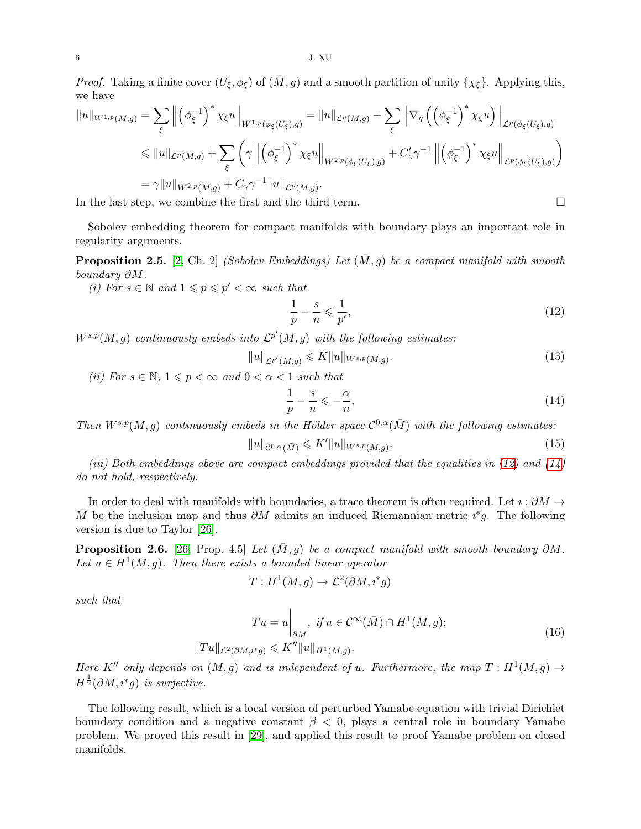*Proof.* Taking a finite cover  $(U_{\xi}, \phi_{\xi})$  of  $(\overline{M}, g)$  and a smooth partition of unity  $\{\chi_{\xi}\}\$ . Applying this, we have

$$
||u||_{W^{1,p}(M,g)} = \sum_{\xi} \left\| \left( \phi_{\xi}^{-1} \right)^* \chi_{\xi} u \right\|_{W^{1,p}(\phi_{\xi}(U_{\xi}),g)} = ||u||_{\mathcal{L}^p(M,g)} + \sum_{\xi} \left\| \nabla_g \left( \left( \phi_{\xi}^{-1} \right)^* \chi_{\xi} u \right) \right\|_{\mathcal{L}^p(\phi_{\xi}(U_{\xi}),g)}
$$
  
\$\leq\$  $||u||_{\mathcal{L}^p(M,g)} + \sum_{\xi} \left( \gamma \left\| \left( \phi_{\xi}^{-1} \right)^* \chi_{\xi} u \right\|_{W^{2,p}(\phi_{\xi}(U_{\xi}),g)} + C'_{\gamma} \gamma^{-1} \left\| \left( \phi_{\xi}^{-1} \right)^* \chi_{\xi} u \right\|_{\mathcal{L}^p(\phi_{\xi}(U_{\xi}),g)}$   
=  $\gamma ||u||_{W^{2,p}(M,g)} + C_{\gamma} \gamma^{-1} ||u||_{\mathcal{L}^p(M,g)}.$ 

In the last step, we combine the first and the third term.

Sobolev embedding theorem for compact manifolds with boundary plays an important role in regularity arguments.

<span id="page-5-2"></span>**Proposition 2.5.** [\[2,](#page-24-15) Ch. 2] (Sobolev Embeddings) Let  $(\bar{M}, g)$  be a compact manifold with smooth boundary ∂M.

(i) For  $s \in \mathbb{N}$  and  $1 \leqslant p \leqslant p' < \infty$  such that

<span id="page-5-0"></span>
$$
\frac{1}{p} - \frac{s}{n} \leqslant \frac{1}{p'},\tag{12}
$$

 $W^{s,p}(M,g)$  continuously embeds into  $\mathcal{L}^{p'}(M,g)$  with the following estimates:

$$
||u||_{\mathcal{L}^{p'}(M,g)} \leqslant K||u||_{W^{s,p}(M,g)}.\tag{13}
$$

(ii) For  $s \in \mathbb{N}$ ,  $1 \leqslant p < \infty$  and  $0 < \alpha < 1$  such that

<span id="page-5-1"></span>
$$
\frac{1}{p} - \frac{s}{n} \leqslant -\frac{\alpha}{n},\tag{14}
$$

Then  $W^{s,p}(M,g)$  continuously embeds in the Hölder space  $\mathcal{C}^{0,\alpha}(\bar{M})$  with the following estimates:

$$
||u||_{\mathcal{C}^{0,\alpha}(\bar{M})} \leqslant K'||u||_{W^{s,p}(M,g)}.
$$
\n(15)

(iii) Both embeddings above are compact embeddings provided that the equalities in  $(12)$  and  $(14)$ do not hold, respectively.

In order to deal with manifolds with boundaries, a trace theorem is often required. Let  $\imath : \partial M \to$  $\overline{M}$  be the inclusion map and thus  $\partial M$  admits an induced Riemannian metric  $\imath^* g$ . The following version is due to Taylor [\[26\]](#page-24-23).

<span id="page-5-3"></span>**Proposition 2.6.** [\[26,](#page-24-23) Prop. 4.5] Let  $(M, g)$  be a compact manifold with smooth boundary ∂M. Let  $u \in H^1(M, g)$ . Then there exists a bounded linear operator

$$
T: H^1(M, g) \to \mathcal{L}^2(\partial M, i^*g)
$$

such that

$$
Tu = u \Big|_{\partial M}, \text{ if } u \in C^{\infty}(\bar{M}) \cap H^{1}(M, g);
$$
  

$$
||Tu||_{\mathcal{L}^{2}(\partial M, i^{*}g)} \leqslant K''||u||_{H^{1}(M, g)}.
$$
 (16)

Here K'' only depends on  $(M, g)$  and is independent of u. Furthermore, the map  $T : H^1(M, g) \rightarrow$  $H^{\frac{1}{2}}(\partial M, i^*g)$  is surjective.

The following result, which is a local version of perturbed Yamabe equation with trivial Dirichlet boundary condition and a negative constant  $\beta$  < 0, plays a central role in boundary Yamabe problem. We proved this result in [\[29\]](#page-24-1), and applied this result to proof Yamabe problem on closed manifolds.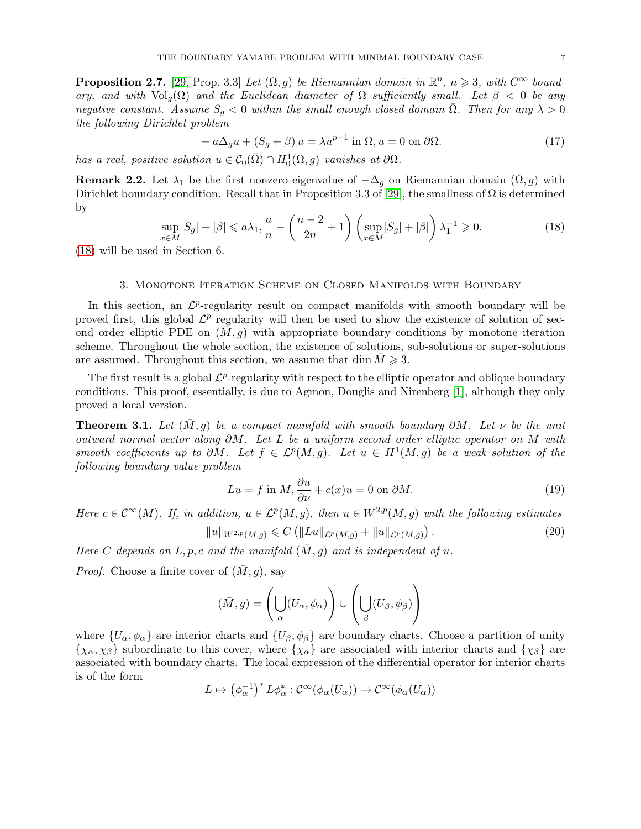<span id="page-6-4"></span>**Proposition 2.7.** [\[29,](#page-24-1) Prop. 3.3] Let  $(\Omega, g)$  be Riemannian domain in  $\mathbb{R}^n$ ,  $n \geq 3$ , with  $C^{\infty}$  boundary, and with  $\text{Vol}_q(\Omega)$  and the Euclidean diameter of  $\Omega$  sufficiently small. Let  $\beta < 0$  be any negative constant. Assume  $S_g < 0$  within the small enough closed domain  $\overline{\Omega}$ . Then for any  $\lambda > 0$ the following Dirichlet problem

<span id="page-6-5"></span>
$$
-a\Delta_g u + (S_g + \beta) u = \lambda u^{p-1} \text{ in } \Omega, u = 0 \text{ on } \partial\Omega.
$$
 (17)

has a real, positive solution  $u \in C_0(\overline{\Omega}) \cap H_0^1(\Omega, g)$  vanishes at  $\partial \Omega$ .

<span id="page-6-6"></span>**Remark 2.2.** Let  $\lambda_1$  be the first nonzero eigenvalue of  $-\Delta_q$  on Riemannian domain  $(\Omega, g)$  with Dirichlet boundary condition. Recall that in Proposition 3.3 of [\[29\]](#page-24-1), the smallness of  $\Omega$  is determined by

<span id="page-6-1"></span>
$$
\sup_{x \in M} |S_g| + |\beta| \le a\lambda_1, \frac{a}{n} - \left(\frac{n-2}{2n} + 1\right) \left(\sup_{x \in M} |S_g| + |\beta|\right) \lambda_1^{-1} \ge 0. \tag{18}
$$

[\(18\)](#page-6-1) will be used in Section 6.

### 3. Monotone Iteration Scheme on Closed Manifolds with Boundary

In this section, an  $\mathcal{L}^p$ -regularity result on compact manifolds with smooth boundary will be proved first, this global  $\mathcal{L}^p$  regularity will then be used to show the existence of solution of second order elliptic PDE on  $(M, g)$  with appropriate boundary conditions by monotone iteration scheme. Throughout the whole section, the existence of solutions, sub-solutions or super-solutions are assumed. Throughout this section, we assume that dim  $M \geq 3$ .

The first result is a global  $\mathcal{L}^p$ -regularity with respect to the elliptic operator and oblique boundary conditions. This proof, essentially, is due to Agmon, Douglis and Nirenberg [\[1\]](#page-24-21), although they only proved a local version.

<span id="page-6-0"></span>**Theorem 3.1.** Let  $(M, g)$  be a compact manifold with smooth boundary  $\partial M$ . Let  $\nu$  be the unit outward normal vector along ∂M. Let L be a uniform second order elliptic operator on M with smooth coefficients up to  $\partial M$ . Let  $f \in \mathcal{L}^p(M,g)$ . Let  $u \in H^1(M,g)$  be a weak solution of the following boundary value problem

<span id="page-6-2"></span>
$$
Lu = f \text{ in } M, \frac{\partial u}{\partial \nu} + c(x)u = 0 \text{ on } \partial M.
$$
 (19)

Here  $c \in C^{\infty}(M)$ . If, in addition,  $u \in L^{p}(M, g)$ , then  $u \in W^{2,p}(M, g)$  with the following estimates

<span id="page-6-3"></span>
$$
||u||_{W^{2,p}(M,g)} \leqslant C \left( ||Lu||_{\mathcal{L}^p(M,g)} + ||u||_{\mathcal{L}^p(M,g)} \right). \tag{20}
$$

Here C depends on L, p, c and the manifold  $(\bar{M}, g)$  and is independent of u.

*Proof.* Choose a finite cover of  $(\overline{M}, q)$ , say

$$
(\bar{M}, g) = \left(\bigcup_{\alpha} (U_{\alpha}, \phi_{\alpha})\right) \cup \left(\bigcup_{\beta} (U_{\beta}, \phi_{\beta})\right)
$$

where  $\{U_\alpha, \phi_\alpha\}$  are interior charts and  $\{U_\beta, \phi_\beta\}$  are boundary charts. Choose a partition of unity  $\{\chi_{\alpha}, \chi_{\beta}\}\$  subordinate to this cover, where  $\{\chi_{\alpha}\}\$  are associated with interior charts and  $\{\chi_{\beta}\}\$  are associated with boundary charts. The local expression of the differential operator for interior charts is of the form

$$
L \mapsto \left(\phi_\alpha^{-1}\right)^*L\phi_\alpha^* : \mathcal{C}^\infty(\phi_\alpha(U_\alpha)) \to \mathcal{C}^\infty(\phi_\alpha(U_\alpha))
$$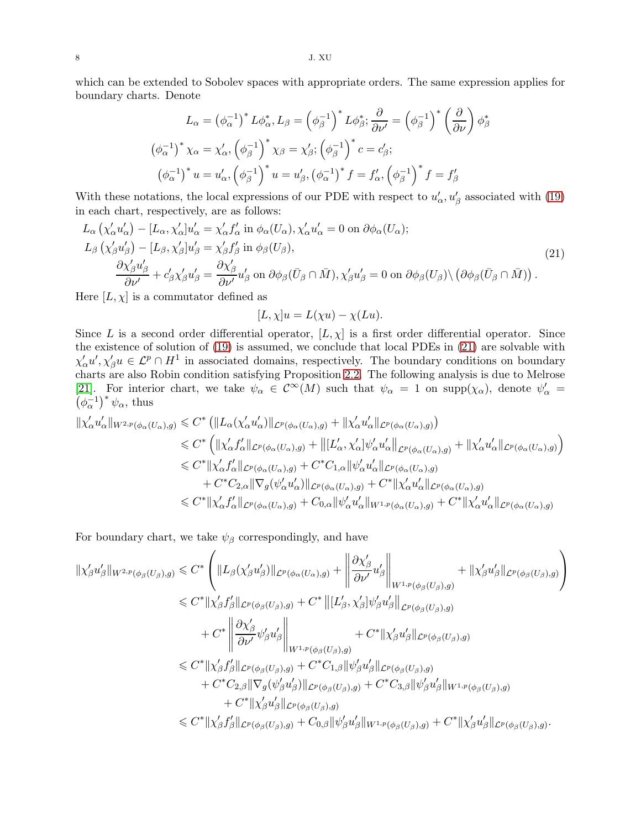which can be extended to Sobolev spaces with appropriate orders. The same expression applies for boundary charts. Denote

$$
L_{\alpha} = \left(\phi_{\alpha}^{-1}\right)^{*} L\phi_{\alpha}^{*}, L_{\beta} = \left(\phi_{\beta}^{-1}\right)^{*} L\phi_{\beta}^{*}; \frac{\partial}{\partial \nu'} = \left(\phi_{\beta}^{-1}\right)^{*} \left(\frac{\partial}{\partial \nu}\right) \phi_{\beta}^{*}
$$

$$
\left(\phi_{\alpha}^{-1}\right)^{*} \chi_{\alpha} = \chi_{\alpha}', \left(\phi_{\beta}^{-1}\right)^{*} \chi_{\beta} = \chi_{\beta}'; \left(\phi_{\beta}^{-1}\right)^{*} c = c_{\beta}';
$$

$$
\left(\phi_{\alpha}^{-1}\right)^{*} u = u_{\alpha}', \left(\phi_{\beta}^{-1}\right)^{*} u = u_{\beta}', \left(\phi_{\alpha}^{-1}\right)^{*} f = f_{\alpha}', \left(\phi_{\beta}^{-1}\right)^{*} f = f_{\beta}'
$$

With these notations, the local expressions of our PDE with respect to  $u'_{\alpha}, u'_{\beta}$  associated with [\(19\)](#page-6-2) in each chart, respectively, are as follows:

<span id="page-7-0"></span>
$$
L_{\alpha} \left( \chi'_{\alpha} u'_{\alpha} \right) - [L_{\alpha}, \chi'_{\alpha}] u'_{\alpha} = \chi'_{\alpha} f'_{\alpha} \text{ in } \phi_{\alpha}(U_{\alpha}), \chi'_{\alpha} u'_{\alpha} = 0 \text{ on } \partial \phi_{\alpha}(U_{\alpha});
$$
  
\n
$$
L_{\beta} \left( \chi'_{\beta} u'_{\beta} \right) - [L_{\beta}, \chi'_{\beta}] u'_{\beta} = \chi'_{\beta} f'_{\beta} \text{ in } \phi_{\beta}(U_{\beta}),
$$
  
\n
$$
\frac{\partial \chi'_{\beta} u'_{\beta}}{\partial \nu'} + c'_{\beta} \chi'_{\beta} u'_{\beta} = \frac{\partial \chi'_{\beta}}{\partial \nu'} u'_{\beta} \text{ on } \partial \phi_{\beta}(\bar{U}_{\beta} \cap \bar{M}), \chi'_{\beta} u'_{\beta} = 0 \text{ on } \partial \phi_{\beta}(U_{\beta}) \setminus \left( \partial \phi_{\beta}(\bar{U}_{\beta} \cap \bar{M}) \right).
$$
\n(21)

Here  $[L, \chi]$  is a commutator defined as

$$
[L, \chi]u = L(\chi u) - \chi(Lu).
$$

Since L is a second order differential operator,  $[L, \chi]$  is a first order differential operator. Since the existence of solution of [\(19\)](#page-6-2) is assumed, we conclude that local PDEs in [\(21\)](#page-7-0) are solvable with  $\chi'_{\alpha}u',\chi'_{\beta}u \in \mathcal{L}^p \cap H^1$  in associated domains, respectively. The boundary conditions on boundary charts are also Robin condition satisfying Proposition [2.2.](#page-4-0) The following analysis is due to Melrose [\[21\]](#page-24-24). For interior chart, we take  $\psi_{\alpha} \in C^{\infty}(M)$  such that  $\psi_{\alpha} = 1$  on  $\text{supp}(\chi_{\alpha})$ , denote  $\psi_{\alpha}' =$  $(\phi_{\alpha}^{-1})^* \psi_{\alpha}$ , thus

$$
\begin{split} \|\chi_\alpha'u_\alpha'\|_{W^{2,p}(\phi_\alpha(U_\alpha),g)} &\leqslant C^* \left( \|L_\alpha(\chi_\alpha'u_\alpha')\|_{\mathcal{L}^p(\phi_\alpha(U_\alpha),g)} + \|\chi_\alpha'u_\alpha'\|_{\mathcal{L}^p(\phi_\alpha(U_\alpha),g)} \right) \\ &\leqslant C^* \left( \|\chi_\alpha'f_\alpha'\|_{\mathcal{L}^p(\phi_\alpha(U_\alpha),g)} + \big\|[L_\alpha',\chi_\alpha']\psi_\alpha'u_\alpha'\big\|_{\mathcal{L}^p(\phi_\alpha(U_\alpha),g)} + \|\chi_\alpha'u_\alpha'\|_{\mathcal{L}^p(\phi_\alpha(U_\alpha),g)} \right) \\ &\leqslant C^* \|\chi_\alpha'f_\alpha'\|_{\mathcal{L}^p(\phi_\alpha(U_\alpha),g)} + C^*C_{1,\alpha}\|\psi_\alpha'u_\alpha'\|_{\mathcal{L}^p(\phi_\alpha(U_\alpha),g)} \\ &\quad + C^*C_{2,\alpha}\|\nabla_g(\psi_\alpha'u_\alpha')\|_{\mathcal{L}^p(\phi_\alpha(U_\alpha),g)} + C^* \|\chi_\alpha'u_\alpha'\|_{\mathcal{L}^p(\phi_\alpha(U_\alpha),g)} \\ &\leqslant C^* \|\chi_\alpha'f_\alpha'\|_{\mathcal{L}^p(\phi_\alpha(U_\alpha),g)} + C_{0,\alpha}\|\psi_\alpha'u_\alpha'\|_{W^{1,p}(\phi_\alpha(U_\alpha),g)} + C^* \|\chi_\alpha'u_\alpha'\|_{\mathcal{L}^p(\phi_\alpha(U_\alpha),g)} \end{split}
$$

For boundary chart, we take  $\psi_{\beta}$  correspondingly, and have

$$
\begin{split}\n\|\chi'_{\beta}u'_{\beta}\|_{W^{2,p}(\phi_{\beta}(U_{\beta}),g)} &\leq C^{*}\left(\|L_{\beta}(\chi'_{\beta}u'_{\beta})\|_{\mathcal{L}^{p}(\phi_{\alpha}(U_{\alpha}),g)} + \left\|\frac{\partial\chi'_{\beta}}{\partial\nu'}u'_{\beta}\right\|_{W^{1,p}(\phi_{\beta}(U_{\beta}),g)} + \|\chi'_{\beta}u'_{\beta}\|_{\mathcal{L}^{p}(\phi_{\beta}(U_{\beta}),g)}\right) \\
&\leq C^{*}\|\chi'_{\beta}f'_{\beta}\|_{\mathcal{L}^{p}(\phi_{\beta}(U_{\beta}),g)} + C^{*}\left\|[L'_{\beta},\chi'_{\beta}]\psi'_{\beta}u'_{\beta}\right\|_{\mathcal{L}^{p}(\phi_{\beta}(U_{\beta}),g)} \\
&\quad + C^{*}\left\|\frac{\partial\chi'_{\beta}}{\partial\nu'}\psi'_{\beta}u'_{\beta}\right\|_{W^{1,p}(\phi_{\beta}(U_{\beta}),g)} + C^{*}\|\chi'_{\beta}u'_{\beta}\|_{\mathcal{L}^{p}(\phi_{\beta}(U_{\beta}),g)} \\
&\leq C^{*}\|\chi'_{\beta}f'_{\beta}\|_{\mathcal{L}^{p}(\phi_{\beta}(U_{\beta}),g)} + C^{*}C_{1,\beta}\|\psi'_{\beta}u'_{\beta}\|_{\mathcal{L}^{p}(\phi_{\beta}(U_{\beta}),g)} \\
&\quad + C^{*}C_{2,\beta}\|\nabla_{g}(\psi'_{\beta}u'_{\beta})\|_{\mathcal{L}^{p}(\phi_{\beta}(U_{\beta}),g)} + C^{*}C_{3,\beta}\|\psi'_{\beta}u'_{\beta}\|_{W^{1,p}(\phi_{\beta}(U_{\beta}),g)} \\
&\leq C^{*}\|\chi'_{\beta}f'_{\beta}\|_{\mathcal{L}^{p}(\phi_{\beta}(U_{\beta}),g)} + C_{0,\beta}\|\psi'_{\beta}u'_{\beta}\|_{W^{1,p}(\phi_{\beta}(U_{\beta}),g)} + C^{*}\|\chi'_{\beta}u'_{\beta}\|_{\mathcal{L}^{p}(\phi_{\beta}(U_{\beta}),g)}.\n\end{split}
$$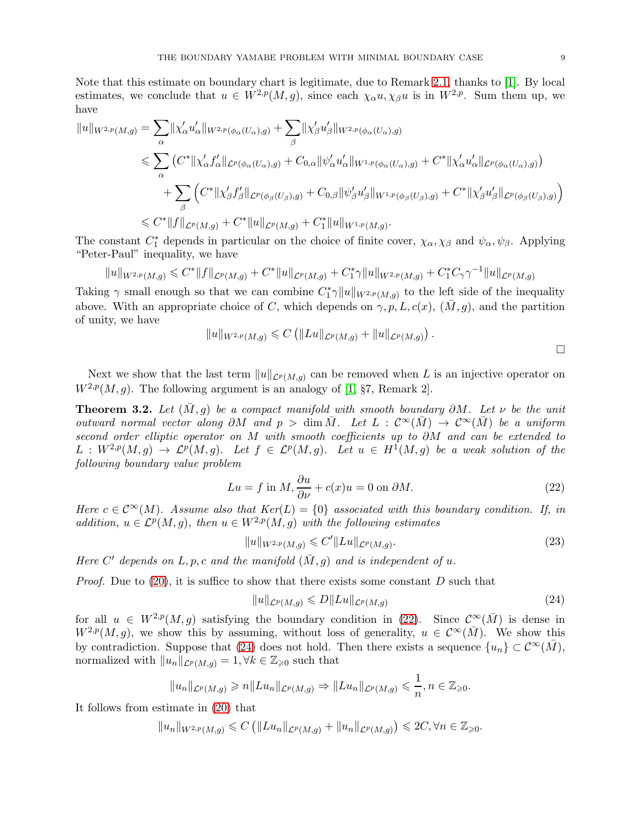Note that this estimate on boundary chart is legitimate, due to Remark [2.1,](#page-4-2) thanks to [\[1\]](#page-24-21). By local estimates, we conclude that  $u \in W^{2,p}(M,g)$ , since each  $\chi_{\alpha} u, \chi_{\beta} u$  is in  $W^{2,p}$ . Sum them up, we have

$$
||u||_{W^{2,p}(M,g)} = \sum_{\alpha} ||\chi'_{\alpha}u'_{\alpha}||_{W^{2,p}(\phi_{\alpha}(U_{\alpha}),g)} + \sum_{\beta} ||\chi'_{\beta}u'_{\beta}||_{W^{2,p}(\phi_{\alpha}(U_{\alpha}),g)}
$$
  
\n
$$
\leq \sum_{\alpha} (C^* || \chi'_{\alpha}f'_{\alpha}||_{\mathcal{L}^p(\phi_{\alpha}(U_{\alpha}),g)} + C_{0,\alpha} ||\psi'_{\alpha}u'_{\alpha}||_{W^{1,p}(\phi_{\alpha}(U_{\alpha}),g)} + C^* || \chi'_{\alpha}u'_{\alpha}||_{\mathcal{L}^p(\phi_{\alpha}(U_{\alpha}),g)})
$$
  
\n
$$
+ \sum_{\beta} (C^* || \chi'_{\beta}f'_{\beta}||_{\mathcal{L}^p(\phi_{\beta}(U_{\beta}),g)} + C_{0,\beta} ||\psi'_{\beta}u'_{\beta}||_{W^{1,p}(\phi_{\beta}(U_{\beta}),g)} + C^* || \chi'_{\beta}u'_{\beta}||_{\mathcal{L}^p(\phi_{\beta}(U_{\beta}),g)})
$$
  
\n
$$
\leq C^* ||f||_{\mathcal{L}^p(M,g)} + C^* ||u||_{\mathcal{L}^p(M,g)} + C_1^* ||u||_{W^{1,p}(M,g)}.
$$

The constant  $C_1^*$  depends in particular on the choice of finite cover,  $\chi_{\alpha}, \chi_{\beta}$  and  $\psi_{\alpha}, \psi_{\beta}$ . Applying "Peter-Paul" inequality, we have

$$
||u||_{W^{2,p}(M,g)} \leq C^*||f||_{\mathcal{L}^p(M,g)} + C^*||u||_{\mathcal{L}^p(M,g)} + C_1^*\gamma||u||_{W^{2,p}(M,g)} + C_1^*C_\gamma\gamma^{-1}||u||_{\mathcal{L}^p(M,g)}
$$

Taking  $\gamma$  small enough so that we can combine  $C_1^*\gamma \|u\|_{W^{2,p}(M,g)}$  to the left side of the inequality above. With an appropriate choice of C, which depends on  $\gamma, p, L, c(x), (M, g)$ , and the partition of unity, we have

$$
||u||_{W^{2,p}(M,g)} \leq C (||Lu||_{\mathcal{L}^p(M,g)} + ||u||_{\mathcal{L}^p(M,g)}) .
$$

Next we show that the last term  $||u||_{\mathcal{L}^p(M,g)}$  can be removed when L is an injective operator on  $W^{2,p}(M, q)$ . The following argument is an analogy of [\[1,](#page-24-21) §7, Remark 2].

<span id="page-8-0"></span>**Theorem 3.2.** Let  $(\bar{M}, g)$  be a compact manifold with smooth boundary  $\partial M$ . Let  $\nu$  be the unit outward normal vector along  $\partial M$  and  $p > \dim \overline{M}$ . Let  $L : C^{\infty}(\overline{M}) \to C^{\infty}(\overline{M})$  be a uniform second order elliptic operator on M with smooth coefficients up to ∂M and can be extended to  $L: W^{2,p}(M,g) \to \mathcal{L}^p(M,g)$ . Let  $f \in \mathcal{L}^p(M,g)$ . Let  $u \in H^1(M,g)$  be a weak solution of the following boundary value problem

<span id="page-8-1"></span>
$$
Lu = f \text{ in } M, \frac{\partial u}{\partial \nu} + c(x)u = 0 \text{ on } \partial M.
$$
 (22)

Here  $c \in C^{\infty}(M)$ . Assume also that  $Ker(L) = \{0\}$  associated with this boundary condition. If, in addition,  $u \in \mathcal{L}^p(M, g)$ , then  $u \in W^{2,p}(M, g)$  with the following estimates

<span id="page-8-3"></span>
$$
||u||_{W^{2,p}(M,g)} \leqslant C'||Lu||_{\mathcal{L}^p(M,g)}.
$$
\n(23)

Here C' depends on L, p, c and the manifold  $(\bar{M}, g)$  and is independent of u.

*Proof.* Due to [\(20\)](#page-6-3), it is suffice to show that there exists some constant  $D$  such that

<span id="page-8-2"></span>
$$
||u||_{\mathcal{L}^p(M,g)} \le D||Lu||_{\mathcal{L}^p(M,g)}\tag{24}
$$

for all  $u \in W^{2,p}(M,g)$  satisfying the boundary condition in [\(22\)](#page-8-1). Since  $\mathcal{C}^{\infty}(\bar{M})$  is dense in  $W^{2,p}(M, g)$ , we show this by assuming, without loss of generality,  $u \in C^{\infty}(\overline{M})$ . We show this by contradiction. Suppose that [\(24\)](#page-8-2) does not hold. Then there exists a sequence  $\{u_n\} \subset \mathcal{C}^{\infty}(M)$ , normalized with  $||u_n||_{\mathcal{L}^p(M,g)} = 1, \forall k \in \mathbb{Z}_{\geqslant 0}$  such that

$$
||u_n||_{\mathcal{L}^p(M,g)} \geqslant n||Lu_n||_{\mathcal{L}^p(M,g)} \Rightarrow ||Lu_n||_{\mathcal{L}^p(M,g)} \leqslant \frac{1}{n}, n \in \mathbb{Z}_{\geqslant 0}.
$$

It follows from estimate in [\(20\)](#page-6-3) that

$$
||u_n||_{W^{2,p}(M,g)} \leqslant C \left( ||Lu_n||_{\mathcal{L}^p(M,g)} + ||u_n||_{\mathcal{L}^p(M,g)} \right) \leqslant 2C, \forall n \in \mathbb{Z}_{\geqslant 0}.
$$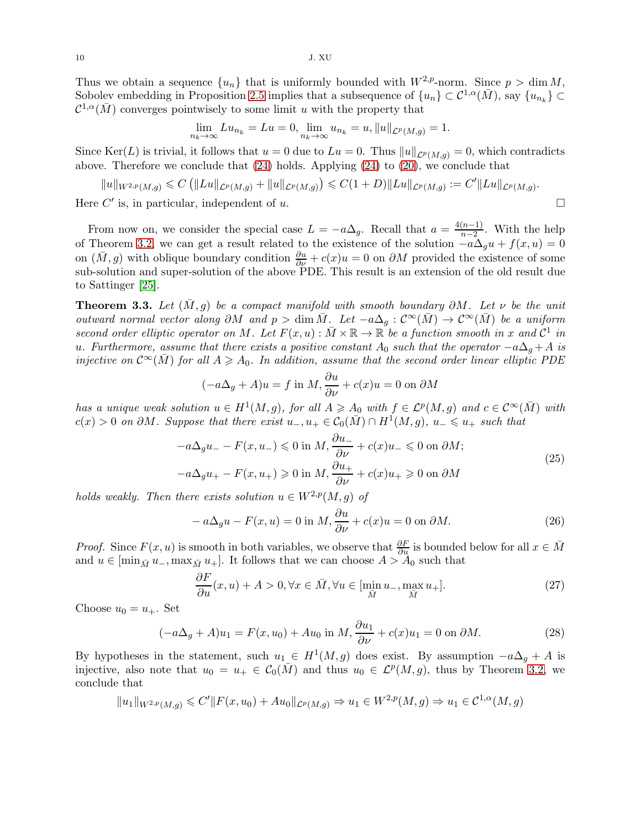Thus we obtain a sequence  $\{u_n\}$  that is uniformly bounded with  $W^{2,p}$ -norm. Since  $p > \dim M$ , Sobolev embedding in Proposition [2.5](#page-5-2) implies that a subsequence of  $\{u_n\} \subset \mathcal{C}^{1,\alpha}(\bar{M})$ , say  $\{u_{n_k}\} \subset$  $\mathcal{C}^{1,\alpha}(\bar{M})$  converges pointwisely to some limit u with the property that

$$
\lim_{n_k \to \infty} Lu_{n_k} = Lu = 0, \lim_{n_k \to \infty} u_{n_k} = u, ||u||_{\mathcal{L}^p(M, g)} = 1.
$$

Since Ker(L) is trivial, it follows that  $u = 0$  due to  $Lu = 0$ . Thus  $||u||_{\mathcal{L}^p(M,g)} = 0$ , which contradicts above. Therefore we conclude that [\(24\)](#page-8-2) holds. Applying [\(24\)](#page-8-2) to [\(20\)](#page-6-3), we conclude that

$$
||u||_{W^{2,p}(M,g)} \leqslant C (||Lu||_{\mathcal{L}^p(M,g)} + ||u||_{\mathcal{L}^p(M,g)}) \leqslant C(1+D)||Lu||_{\mathcal{L}^p(M,g)} := C'||Lu||_{\mathcal{L}^p(M,g)}.
$$

Here  $C'$  is, in particular, independent of u.

From now on, we consider the special case  $L = -a\Delta_g$ . Recall that  $a = \frac{4(n-1)}{n-2}$  $\frac{n-1}{n-2}$ . With the help of Theorem [3.2,](#page-8-0) we can get a result related to the existence of the solution  $-a\Delta_0u + f(x, u) = 0$ on  $(\bar{M}, g)$  with oblique boundary condition  $\frac{\partial u}{\partial \nu} + c(x)u = 0$  on  $\partial M$  provided the existence of some sub-solution and super-solution of the above PDE. This result is an extension of the old result due to Sattinger [\[25\]](#page-24-7).

<span id="page-9-0"></span>**Theorem 3.3.** Let  $(\overline{M}, g)$  be a compact manifold with smooth boundary  $\partial M$ . Let  $\nu$  be the unit outward normal vector along  $\partial M$  and  $p > \dim \overline{M}$ . Let  $-a\Delta_q : C^{\infty}(\overline{M}) \to C^{\infty}(\overline{M})$  be a uniform second order elliptic operator on M. Let  $F(x, u) : \overline{M} \times \mathbb{R} \to \mathbb{R}$  be a function smooth in x and  $\mathcal{C}^1$  in u. Furthermore, assume that there exists a positive constant  $A_0$  such that the operator  $-a\Delta_q + A$  is injective on  $\mathcal{C}^{\infty}(M)$  for all  $A \geq A_0$ . In addition, assume that the second order linear elliptic PDE

$$
(-a\Delta_g + A)u = f \text{ in } M, \frac{\partial u}{\partial \nu} + c(x)u = 0 \text{ on } \partial M
$$

has a unique weak solution  $u \in H^1(M, g)$ , for all  $A \geq A_0$  with  $f \in \mathcal{L}^p(M, g)$  and  $c \in \mathcal{C}^{\infty}(\overline{M})$  with  $c(x) > 0$  on  $\partial M$ . Suppose that there exist  $u_-, u_+ \in \mathcal{C}_0(\bar{M}) \cap H^1(M, g)$ ,  $u_- \leq u_+$  such that

$$
-a\Delta_g u_- - F(x, u_-) \leq 0 \text{ in } M, \frac{\partial u_-}{\partial \nu} + c(x)u_- \leq 0 \text{ on } \partial M;
$$
  

$$
-a\Delta_g u_+ - F(x, u_+) \geq 0 \text{ in } M, \frac{\partial u_+}{\partial \nu} + c(x)u_+ \geq 0 \text{ on } \partial M
$$
 (25)

holds weakly. Then there exists solution  $u \in W^{2,p}(M, q)$  of

$$
-a\Delta_g u - F(x, u) = 0 \text{ in } M, \frac{\partial u}{\partial \nu} + c(x)u = 0 \text{ on } \partial M.
$$
 (26)

*Proof.* Since  $F(x, u)$  is smooth in both variables, we observe that  $\frac{\partial F}{\partial u}$  is bounded below for all  $x \in \overline{M}$ and  $u \in [\min_{\bar{M}} u_-, \max_{\bar{M}} u_+]$ . It follows that we can choose  $A > A_0$  such that

<span id="page-9-1"></span>
$$
\frac{\partial F}{\partial u}(x, u) + A > 0, \forall x \in \bar{M}, \forall u \in [\min_{\bar{M}} u_{-}, \max_{\bar{M}} u_{+}].
$$
\n(27)

Choose  $u_0 = u_+$ . Set

<span id="page-9-2"></span>
$$
(-a\Delta_g + A)u_1 = F(x, u_0) + Au_0 \text{ in } M, \frac{\partial u_1}{\partial \nu} + c(x)u_1 = 0 \text{ on } \partial M.
$$
 (28)

By hypotheses in the statement, such  $u_1 \in H^1(M, g)$  does exist. By assumption  $-a\Delta_g + A$  is injective, also note that  $u_0 = u_+ \in C_0(\bar{M})$  and thus  $u_0 \in \mathcal{L}^p(M,g)$ , thus by Theorem [3.2,](#page-8-0) we conclude that

$$
||u_1||_{W^{2,p}(M,g)} \leq C'||F(x, u_0) + Au_0||_{\mathcal{L}^p(M,g)} \Rightarrow u_1 \in W^{2,p}(M,g) \Rightarrow u_1 \in \mathcal{C}^{1,\alpha}(M,g)
$$

10 J. XU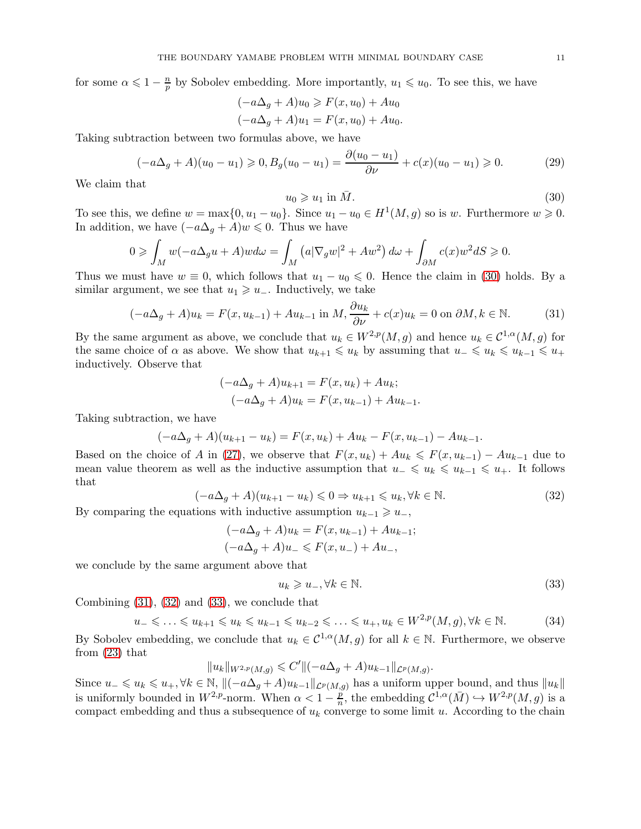for some  $\alpha \leqslant 1 - \frac{n}{n}$  $\frac{n}{p}$  by Sobolev embedding. More importantly,  $u_1 \leq u_0$ . To see this, we have

$$
(-a\Delta_g + A)u_0 \ge F(x, u_0) + Au_0
$$
  

$$
(-a\Delta_g + A)u_1 = F(x, u_0) + Au_0.
$$

Taking subtraction between two formulas above, we have

$$
(-a\Delta_g + A)(u_0 - u_1) \geq 0, B_g(u_0 - u_1) = \frac{\partial(u_0 - u_1)}{\partial \nu} + c(x)(u_0 - u_1) \geq 0. \tag{29}
$$

We claim that

<span id="page-10-0"></span>
$$
u_0 \geqslant u_1 \text{ in } \bar{M}.\tag{30}
$$

To see this, we define  $w = \max\{0, u_1 - u_0\}$ . Since  $u_1 - u_0 \in H^1(M, g)$  so is w. Furthermore  $w \geq 0$ . In addition, we have  $(-a\Delta_q + A)w \leq 0$ . Thus we have

$$
0 \geqslant \int_M w(-a\Delta_g u + A)w d\omega = \int_M (a|\nabla_g w|^2 + Aw^2) d\omega + \int_{\partial M} c(x)w^2 dS \geqslant 0.
$$

Thus we must have  $w \equiv 0$ , which follows that  $u_1 - u_0 \leq 0$ . Hence the claim in [\(30\)](#page-10-0) holds. By a similar argument, we see that  $u_1 \geq u_$ . Inductively, we take

<span id="page-10-1"></span>
$$
(-a\Delta_g + A)u_k = F(x, u_{k-1}) + Au_{k-1} \text{ in } M, \frac{\partial u_k}{\partial \nu} + c(x)u_k = 0 \text{ on } \partial M, k \in \mathbb{N}.
$$
 (31)

By the same argument as above, we conclude that  $u_k \in W^{2,p}(M,g)$  and hence  $u_k \in C^{1,\alpha}(M,g)$  for the same choice of  $\alpha$  as above. We show that  $u_{k+1} \leq u_k$  by assuming that  $u_{-} \leq u_k \leq u_{k-1} \leq u_{+}$ inductively. Observe that

$$
(-a\Delta_g + A)u_{k+1} = F(x, u_k) + Au_k;
$$
  

$$
(-a\Delta_g + A)u_k = F(x, u_{k-1}) + Au_{k-1}.
$$

Taking subtraction, we have

$$
(-a\Delta_g + A)(u_{k+1} - u_k) = F(x, u_k) + Au_k - F(x, u_{k-1}) - Au_{k-1}.
$$

Based on the choice of A in [\(27\)](#page-9-1), we observe that  $F(x, u_k) + Au_k \leq F(x, u_{k-1}) - Au_{k-1}$  due to mean value theorem as well as the inductive assumption that  $u_-\leq u_k\leq u_{k-1}\leq u_+$ . It follows that

<span id="page-10-2"></span>
$$
(-a\Delta_g + A)(u_{k+1} - u_k) \leq 0 \Rightarrow u_{k+1} \leq u_k, \forall k \in \mathbb{N}.
$$
\n(32)

By comparing the equations with inductive assumption  $u_{k-1} \geq u_-,$ 

$$
(-a\Delta_g + A)u_k = F(x, u_{k-1}) + Au_{k-1};
$$
  

$$
(-a\Delta_g + A)u_{-} \leq F(x, u_{-}) + Au_{-},
$$

we conclude by the same argument above that

<span id="page-10-3"></span>
$$
u_k \geqslant u_-, \forall k \in \mathbb{N}.\tag{33}
$$

Combining [\(31\)](#page-10-1), [\(32\)](#page-10-2) and [\(33\)](#page-10-3), we conclude that

<span id="page-10-4"></span>
$$
u_{-} \leqslant \ldots \leqslant u_{k+1} \leqslant u_k \leqslant u_{k-1} \leqslant u_{k-2} \leqslant \ldots \leqslant u_{+}, u_k \in W^{2,p}(M, g), \forall k \in \mathbb{N}.
$$
 (34)

By Sobolev embedding, we conclude that  $u_k \in C^{1,\alpha}(M,g)$  for all  $k \in \mathbb{N}$ . Furthermore, we observe from [\(23\)](#page-8-3) that

$$
||u_k||_{W^{2,p}(M,g)} \leqslant C'||(-a\Delta_g + A)u_{k-1}||_{\mathcal{L}^p(M,g)}.
$$

Since  $u_-\leq u_k\leq u_+$ ,  $\forall k\in\mathbb{N}$ ,  $\Vert(-a\Delta_g+A)u_{k-1}\Vert_{\mathcal{L}^p(M,g)}$  has a uniform upper bound, and thus  $\Vert u_k\Vert$ is uniformly bounded in  $W^{2,p}$ -norm. When  $\alpha < 1 - \frac{p}{n}$  $\frac{p}{n}$ , the embedding  $\mathcal{C}^{1,\alpha}(\bar{M}) \hookrightarrow W^{2,p}(M,g)$  is a compact embedding and thus a subsequence of  $u_k$  converge to some limit u. According to the chain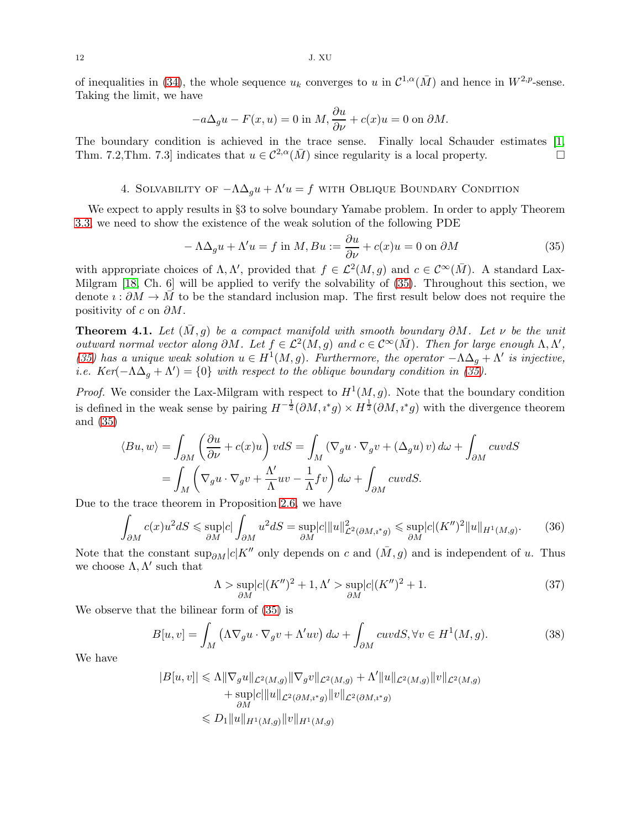of inequalities in [\(34\)](#page-10-4), the whole sequence  $u_k$  converges to u in  $\mathcal{C}^{1,\alpha}(\bar{M})$  and hence in  $W^{2,p}$ -sense. Taking the limit, we have

$$
-a\Delta_g u - F(x, u) = 0
$$
in  $M$ ,  $\frac{\partial u}{\partial \nu} + c(x)u = 0$  on  $\partial M$ .

The boundary condition is achieved in the trace sense. Finally local Schauder estimates [\[1,](#page-24-21) Thm. 7.2,Thm. 7.3] indicates that  $u \in C^{2,\alpha}(\overline{M})$  since regularity is a local property.

# 4. SOLVABILITY OF  $-\Lambda\Delta_q u + \Lambda' u = f$  with Oblique Boundary Condition

We expect to apply results in §3 to solve boundary Yamabe problem. In order to apply Theorem [3.3,](#page-9-0) we need to show the existence of the weak solution of the following PDE

<span id="page-11-0"></span>
$$
-\Lambda \Delta_g u + \Lambda' u = f \text{ in } M, B u := \frac{\partial u}{\partial \nu} + c(x) u = 0 \text{ on } \partial M \tag{35}
$$

with appropriate choices of  $\Lambda, \Lambda'$ , provided that  $f \in \mathcal{L}^2(M, g)$  and  $c \in \mathcal{C}^{\infty}(\bar{M})$ . A standard Lax-Milgram [\[18,](#page-24-25) Ch. 6] will be applied to verify the solvability of [\(35\)](#page-11-0). Throughout this section, we denote  $\imath : \partial M \to M$  to be the standard inclusion map. The first result below does not require the positivity of c on  $\partial M$ .

<span id="page-11-3"></span>**Theorem 4.1.** Let  $(\overline{M}, q)$  be a compact manifold with smooth boundary  $\partial M$ . Let  $\nu$  be the unit outward normal vector along  $\partial M$ . Let  $f \in \mathcal{L}^2(M, g)$  and  $c \in \mathcal{C}^{\infty}(\overline{M})$ . Then for large enough  $\Lambda, \Lambda',$ [\(35\)](#page-11-0) has a unique weak solution  $u \in H^1(M, g)$ . Furthermore, the operator  $-\Lambda\Delta_g + \Lambda'$  is injective, i.e.  $Ker(-\Lambda\Delta_g + \Lambda') = \{0\}$  with respect to the oblique boundary condition in [\(35\)](#page-11-0).

*Proof.* We consider the Lax-Milgram with respect to  $H^1(M, g)$ . Note that the boundary condition is defined in the weak sense by pairing  $H^{-\frac{1}{2}}(\partial M, i^*g) \times H^{\frac{1}{2}}(\partial M, i^*g)$  with the divergence theorem and [\(35\)](#page-11-0)

$$
\langle Bu, w \rangle = \int_{\partial M} \left( \frac{\partial u}{\partial \nu} + c(x) u \right) v dS = \int_M (\nabla_g u \cdot \nabla_g v + (\Delta_g u) v) d\omega + \int_{\partial M} cuv dS
$$

$$
= \int_M \left( \nabla_g u \cdot \nabla_g v + \frac{\Lambda'}{\Lambda} uv - \frac{1}{\Lambda} f v \right) d\omega + \int_{\partial M} cuv dS.
$$

Due to the trace theorem in Proposition [2.6,](#page-5-3) we have

$$
\int_{\partial M} c(x)u^2 dS \le \sup_{\partial M} |c| \int_{\partial M} u^2 dS = \sup_{\partial M} |c| ||u||^2_{\mathcal{L}^2(\partial M, \iota^* g)} \le \sup_{\partial M} |c| (K'')^2 ||u||_{H^1(M, g)}.
$$
 (36)

Note that the constant  $\sup_{\partial M}|c|K''$  only depends on c and  $(\bar{M}, g)$  and is independent of u. Thus we choose  $\Lambda, \Lambda'$  such that

<span id="page-11-1"></span>
$$
\Lambda > \sup_{\partial M} |c|(K'')^2 + 1, \Lambda' > \sup_{\partial M} |c|(K'')^2 + 1.
$$
\n(37)

We observe that the bilinear form of [\(35\)](#page-11-0) is

<span id="page-11-2"></span>
$$
B[u, v] = \int_M \left(\Lambda \nabla_g u \cdot \nabla_g v + \Lambda' uv\right) d\omega + \int_{\partial M} cuv dS, \forall v \in H^1(M, g). \tag{38}
$$

We have

$$
|B[u, v]| \le \Lambda \|\nabla_g u\|_{\mathcal{L}^2(M, g)} \|\nabla_g v\|_{\mathcal{L}^2(M, g)} + \Lambda' \|u\|_{\mathcal{L}^2(M, g)} \|v\|_{\mathcal{L}^2(M, g)}
$$
  
+ 
$$
\sup_{\partial M} |c| \|u\|_{\mathcal{L}^2(\partial M, i^*g)} \|v\|_{\mathcal{L}^2(\partial M, i^*g)}
$$
  

$$
\le D_1 \|u\|_{H^1(M, g)} \|v\|_{H^1(M, g)}
$$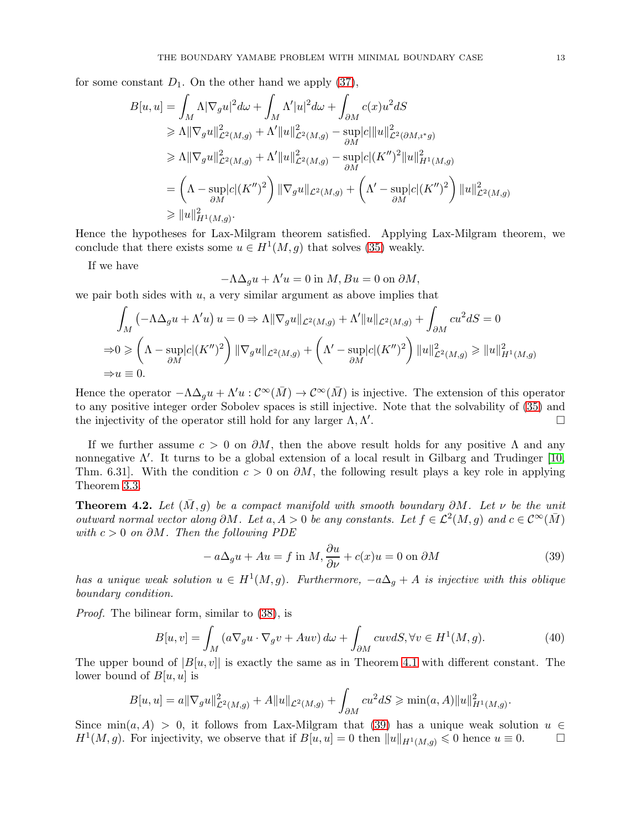for some constant  $D_1$ . On the other hand we apply [\(37\)](#page-11-1),

$$
B[u, u] = \int_{M} \Lambda |\nabla_{g} u|^{2} d\omega + \int_{M} \Lambda' |u|^{2} d\omega + \int_{\partial M} c(x) u^{2} dS
$$
  
\n
$$
\geq \Lambda ||\nabla_{g} u||^{2}_{\mathcal{L}^{2}(M, g)} + \Lambda' ||u||^{2}_{\mathcal{L}^{2}(M, g)} - \sup_{\partial M} |c| ||u||^{2}_{\mathcal{L}^{2}(\partial M, i^{*}g)}
$$
  
\n
$$
\geq \Lambda ||\nabla_{g} u||^{2}_{\mathcal{L}^{2}(M, g)} + \Lambda' ||u||^{2}_{\mathcal{L}^{2}(M, g)} - \sup_{\partial M} |c| (K'')^{2} ||u||^{2}_{H^{1}(M, g)}
$$
  
\n
$$
= \left( \Lambda - \sup_{\partial M} |c| (K'')^{2} \right) ||\nabla_{g} u||_{\mathcal{L}^{2}(M, g)} + \left( \Lambda' - \sup_{\partial M} |c| (K'')^{2} \right) ||u||^{2}_{\mathcal{L}^{2}(M, g)}
$$
  
\n
$$
\geq ||u||^{2}_{H^{1}(M, g)}.
$$

Hence the hypotheses for Lax-Milgram theorem satisfied. Applying Lax-Milgram theorem, we conclude that there exists some  $u \in H^1(M, g)$  that solves [\(35\)](#page-11-0) weakly.

If we have

$$
-\Lambda \Delta_g u + \Lambda' u = 0
$$
in  $M$ ,  $Bu = 0$  on  $\partial M$ ,

we pair both sides with  $u$ , a very similar argument as above implies that

$$
\int_M \left( -\Lambda \Delta_g u + \Lambda' u \right) u = 0 \Rightarrow \Lambda \|\nabla_g u\|_{\mathcal{L}^2(M,g)} + \Lambda' \|u\|_{\mathcal{L}^2(M,g)} + \int_{\partial M} cu^2 dS = 0
$$
  
\n
$$
\Rightarrow 0 \ge \left( \Lambda - \sup_{\partial M} |c| (K'')^2 \right) \|\nabla_g u\|_{\mathcal{L}^2(M,g)} + \left( \Lambda' - \sup_{\partial M} |c| (K'')^2 \right) \|u\|_{\mathcal{L}^2(M,g)}^2 \ge \|u\|_{H^1(M,g)}^2
$$
  
\n
$$
\Rightarrow u \equiv 0.
$$

Hence the operator  $-\Lambda\Delta_q u + \Lambda' u : \mathcal{C}^{\infty}(\bar{M}) \to \mathcal{C}^{\infty}(\bar{M})$  is injective. The extension of this operator to any positive integer order Sobolev spaces is still injective. Note that the solvability of [\(35\)](#page-11-0) and the injectivity of the operator still hold for any larger  $\Lambda, \Lambda'$ . В последните поставите на примерение в поставите на примерение в поставите на примерение в собствение и при<br>В поставите на примерение в поставите на примерение в поставите на примерение в поставите на примерение в пост

If we further assume  $c > 0$  on  $\partial M$ , then the above result holds for any positive  $\Lambda$  and any nonnegative  $\Lambda'$ . It turns to be a global extension of a local result in Gilbarg and Trudinger [\[10,](#page-24-22) Thm. 6.31. With the condition  $c > 0$  on  $\partial M$ , the following result plays a key role in applying Theorem [3.3.](#page-9-0)

<span id="page-12-1"></span>**Theorem 4.2.** Let  $(\bar{M}, g)$  be a compact manifold with smooth boundary  $\partial M$ . Let  $\nu$  be the unit outward normal vector along  $\partial M$ . Let  $a, A > 0$  be any constants. Let  $f \in \mathcal{L}^2(M, g)$  and  $c \in \mathcal{C}^{\infty}(\bar{M})$ with  $c > 0$  on  $\partial M$ . Then the following PDE

<span id="page-12-0"></span>
$$
-a\Delta_g u + Au = f \text{ in } M, \frac{\partial u}{\partial \nu} + c(x)u = 0 \text{ on } \partial M
$$
\n(39)

has a unique weak solution  $u \in H^1(M, g)$ . Furthermore,  $-a\Delta_g + A$  is injective with this oblique boundary condition.

Proof. The bilinear form, similar to [\(38\)](#page-11-2), is

$$
B[u, v] = \int_M \left( a \nabla_g u \cdot \nabla_g v + Auv \right) d\omega + \int_{\partial M} cuv dS, \forall v \in H^1(M, g). \tag{40}
$$

The upper bound of  $|B(u, v)|$  is exactly the same as in Theorem [4.1](#page-11-3) with different constant. The lower bound of  $B[u, u]$  is

$$
B[u, u] = a \|\nabla_g u\|_{\mathcal{L}^2(M, g)}^2 + A||u||_{\mathcal{L}^2(M, g)} + \int_{\partial M} cu^2 dS \ge \min(a, A) ||u||_{H^1(M, g)}^2.
$$

Since  $\min(a, A) > 0$ , it follows from Lax-Milgram that [\(39\)](#page-12-0) has a unique weak solution  $u \in$  $H^1(M, g)$ . For injectivity, we observe that if  $B[u, u] = 0$  then  $||u||_{H^1(M, g)} \leq 0$  hence  $u \equiv 0$ .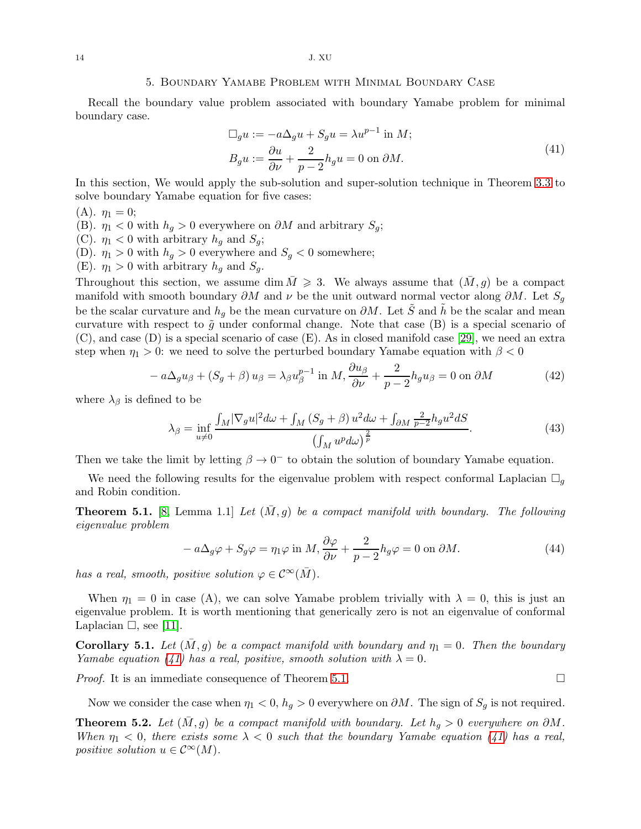#### 5. Boundary Yamabe Problem with Minimal Boundary Case

Recall the boundary value problem associated with boundary Yamabe problem for minimal boundary case.

$$
\Box_g u := -a\Delta_g u + S_g u = \lambda u^{p-1} \text{ in } M; \nB_g u := \frac{\partial u}{\partial \nu} + \frac{2}{p-2} h_g u = 0 \text{ on } \partial M.
$$
\n(41)

<span id="page-13-2"></span>In this section, We would apply the sub-solution and super-solution technique in Theorem [3.3](#page-9-0) to solve boundary Yamabe equation for five cases:

$$
(A). \eta_1=0;
$$

(B).  $\eta_1 < 0$  with  $h_g > 0$  everywhere on  $\partial M$  and arbitrary  $S_g$ ;

- (C).  $\eta_1 < 0$  with arbitrary  $h_g$  and  $S_g$ ;
- (D).  $\eta_1 > 0$  with  $h_g > 0$  everywhere and  $S_g < 0$  somewhere;
- (E).  $\eta_1 > 0$  with arbitrary  $h_g$  and  $S_g$ .

Throughout this section, we assume dim  $\overline{M} \geqslant 3$ . We always assume that  $(\overline{M}, q)$  be a compact manifold with smooth boundary  $\partial M$  and  $\nu$  be the unit outward normal vector along  $\partial M$ . Let  $S_g$ be the scalar curvature and  $h_q$  be the mean curvature on  $\partial M$ . Let S and  $\tilde{h}$  be the scalar and mean curvature with respect to  $\tilde{g}$  under conformal change. Note that case (B) is a special scenario of (C), and case (D) is a special scenario of case (E). As in closed manifold case [\[29\]](#page-24-1), we need an extra step when  $\eta_1 > 0$ : we need to solve the perturbed boundary Yamabe equation with  $\beta < 0$ 

<span id="page-13-4"></span>
$$
-a\Delta_g u_\beta + (S_g + \beta) u_\beta = \lambda_\beta u_\beta^{p-1} \text{ in } M, \frac{\partial u_\beta}{\partial \nu} + \frac{2}{p-2} h_g u_\beta = 0 \text{ on } \partial M \tag{42}
$$

where  $\lambda_{\beta}$  is defined to be

<span id="page-13-5"></span>
$$
\lambda_{\beta} = \inf_{u \neq 0} \frac{\int_M |\nabla_g u|^2 d\omega + \int_M (S_g + \beta) u^2 d\omega + \int_{\partial M} \frac{2}{p-2} h_g u^2 dS}{\left(\int_M u^p d\omega\right)^{\frac{2}{p}}}.
$$
\n(43)

Then we take the limit by letting  $\beta \to 0^-$  to obtain the solution of boundary Yamabe equation.

We need the following results for the eigenvalue problem with respect conformal Laplacian  $\Box_g$ and Robin condition.

<span id="page-13-3"></span>**Theorem 5.1.** [\[8,](#page-24-8) Lemma 1.1] Let  $(\overline{M}, g)$  be a compact manifold with boundary. The following eigenvalue problem

$$
-a\Delta_g \varphi + S_g \varphi = \eta_1 \varphi \text{ in } M, \frac{\partial \varphi}{\partial \nu} + \frac{2}{p-2} h_g \varphi = 0 \text{ on } \partial M. \tag{44}
$$

has a real, smooth, positive solution  $\varphi \in C^{\infty}(\overline{M})$ .

When  $\eta_1 = 0$  in case (A), we can solve Yamabe problem trivially with  $\lambda = 0$ , this is just an eigenvalue problem. It is worth mentioning that generically zero is not an eigenvalue of conformal Laplacian  $\Box$ , see [\[11\]](#page-24-26).

<span id="page-13-1"></span>**Corollary 5.1.** Let  $(M, g)$  be a compact manifold with boundary and  $\eta_1 = 0$ . Then the boundary Yamabe equation [\(41\)](#page-13-2) has a real, positive, smooth solution with  $\lambda = 0$ .

*Proof.* It is an immediate consequence of Theorem [5.1.](#page-13-3)  $\Box$ 

Now we consider the case when  $\eta_1 < 0$ ,  $h_q > 0$  everywhere on  $\partial M$ . The sign of  $S_q$  is not required.

<span id="page-13-0"></span>**Theorem 5.2.** Let  $(M, g)$  be a compact manifold with boundary. Let  $h_g > 0$  everywhere on  $\partial M$ . When  $\eta_1 < 0$ , there exists some  $\lambda < 0$  such that the boundary Yamabe equation [\(41\)](#page-13-2) has a real, positive solution  $u \in C^{\infty}(M)$ .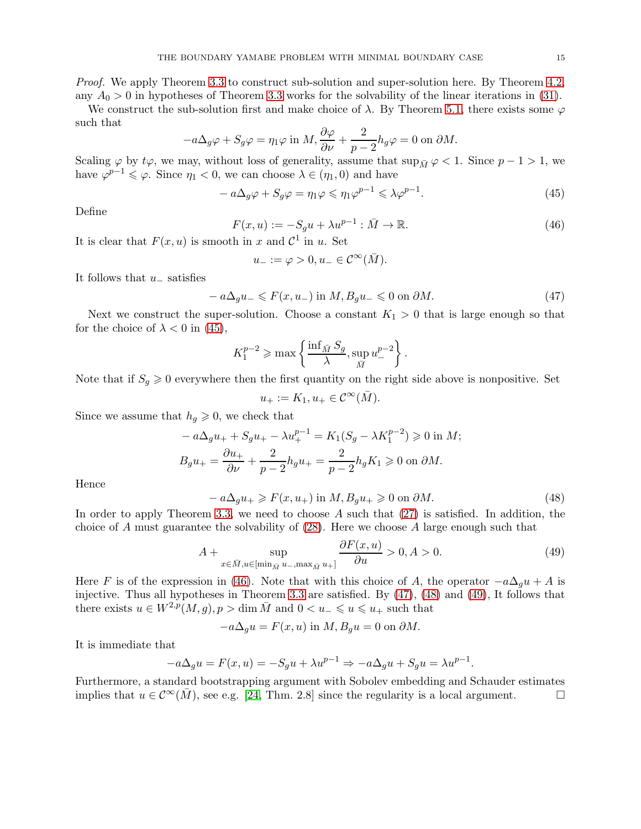Proof. We apply Theorem [3.3](#page-9-0) to construct sub-solution and super-solution here. By Theorem [4.2,](#page-12-1) any  $A_0 > 0$  in hypotheses of Theorem [3.3](#page-9-0) works for the solvability of the linear iterations in [\(31\)](#page-10-1).

We construct the sub-solution first and make choice of  $\lambda$ . By Theorem [5.1,](#page-13-3) there exists some  $\varphi$ such that

$$
-a\Delta_g\varphi + S_g\varphi = \eta_1\varphi \text{ in } M, \frac{\partial\varphi}{\partial\nu} + \frac{2}{p-2}h_g\varphi = 0 \text{ on } \partial M.
$$

Scaling  $\varphi$  by  $t\varphi$ , we may, without loss of generality, assume that  $\sup_{\bar{M}} \varphi < 1$ . Since  $p - 1 > 1$ , we have  $\varphi^{p-1} \leq \varphi$ . Since  $\eta_1 < 0$ , we can choose  $\lambda \in (\eta_1, 0)$  and have

<span id="page-14-0"></span>
$$
-a\Delta_g \varphi + S_g \varphi = \eta_1 \varphi \le \eta_1 \varphi^{p-1} \le \lambda \varphi^{p-1}.
$$
\n(45)

Define

<span id="page-14-1"></span>
$$
F(x, u) := -S_g u + \lambda u^{p-1} : \bar{M} \to \mathbb{R}.
$$
\n(46)

It is clear that  $F(x, u)$  is smooth in x and  $\mathcal{C}^1$  in u. Set

$$
u_{-} := \varphi > 0, u_{-} \in \mathcal{C}^{\infty}(\bar{M}).
$$

It follows that  $u_-\$  satisfies

<span id="page-14-2"></span>
$$
-a\Delta_g u_{-} \leqslant F(x, u_{-}) \text{ in } M, B_g u_{-} \leqslant 0 \text{ on } \partial M. \tag{47}
$$

Next we construct the super-solution. Choose a constant  $K_1 > 0$  that is large enough so that for the choice of  $\lambda < 0$  in [\(45\)](#page-14-0),

$$
K_1^{p-2} \ge \max\left\{\frac{\inf_{\bar{M}} S_g}{\lambda}, \sup_{\bar{M}} u^{p-2}_{-}\right\}.
$$

Note that if  $S_q \geq 0$  everywhere then the first quantity on the right side above is nonpositive. Set

$$
u_+:=K_1, u_+\in \mathcal{C}^\infty(\bar M).
$$

Since we assume that  $h_q \geq 0$ , we check that

$$
-a\Delta_{g}u_{+} + S_{g}u_{+} - \lambda u_{+}^{p-1} = K_{1}(S_{g} - \lambda K_{1}^{p-2}) \ge 0 \text{ in } M;
$$
  

$$
B_{g}u_{+} = \frac{\partial u_{+}}{\partial \nu} + \frac{2}{p-2}h_{g}u_{+} = \frac{2}{p-2}h_{g}K_{1} \ge 0 \text{ on } \partial M.
$$

Hence

<span id="page-14-3"></span>
$$
- a\Delta_g u_+ \ge F(x, u_+) \text{ in } M, B_g u_+ \ge 0 \text{ on } \partial M. \tag{48}
$$

In order to apply Theorem [3.3,](#page-9-0) we need to choose A such that  $(27)$  is satisfied. In addition, the choice of A must guarantee the solvability of  $(28)$ . Here we choose A large enough such that

<span id="page-14-4"></span>
$$
A + \sup_{x \in \bar{M}, u \in [\min_{\bar{M}} u_-, \max_{\bar{M}} u_+]}\frac{\partial F(x, u)}{\partial u} > 0, A > 0.
$$
 (49)

.

Here F is of the expression in [\(46\)](#page-14-1). Note that with this choice of A, the operator  $-a\Delta_g u + A$  is injective. Thus all hypotheses in Theorem [3.3](#page-9-0) are satisfied. By [\(47\)](#page-14-2), [\(48\)](#page-14-3) and [\(49\)](#page-14-4), It follows that there exists  $u \in W^{2,p}(M,g), p > \dim \overline{M}$  and  $0 < u_- \leq u \leq u_+$  such that

$$
-a\Delta_g u = F(x, u) \text{ in } M, B_g u = 0 \text{ on } \partial M.
$$

It is immediate that

$$
-a\Delta_g u = F(x, u) = -S_g u + \lambda u^{p-1} \Rightarrow -a\Delta_g u + S_g u = \lambda u^{p-1}
$$

Furthermore, a standard bootstrapping argument with Sobolev embedding and Schauder estimates implies that  $u \in C^{\infty}(\overline{M})$ , see e.g. [\[24,](#page-24-0) Thm. 2.8] since the regularity is a local argument.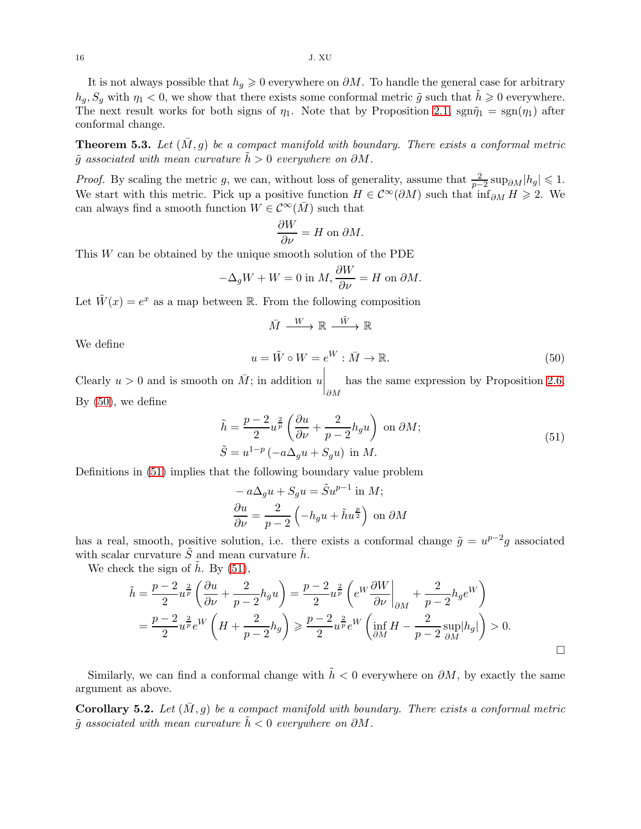It is not always possible that  $h_g \geq 0$  everywhere on  $\partial M$ . To handle the general case for arbitrary  $h_q$ ,  $S_q$  with  $\eta_1 < 0$ , we show that there exists some conformal metric  $\tilde{g}$  such that  $h \geq 0$  everywhere. The next result works for both signs of  $\eta_1$ . Note that by Proposition [2.1,](#page-4-3)  $\text{sgn}\tilde{\eta}_1 = \text{sgn}(\eta_1)$  after conformal change.

<span id="page-15-0"></span>**Theorem 5.3.** Let  $(M, g)$  be a compact manifold with boundary. There exists a conformal metric  $\tilde{q}$  associated with mean curvature  $\tilde{h} > 0$  everywhere on  $\partial M$ .

*Proof.* By scaling the metric g, we can, without loss of generality, assume that  $\frac{2}{p-2} \sup_{\partial M} |h_g| \leq 1$ . We start with this metric. Pick up a positive function  $H \in C^{\infty}(\partial M)$  such that  $\inf_{\partial M} H \geq 2$ . We can always find a smooth function  $W \in C^{\infty}(\overline{M})$  such that

$$
\frac{\partial W}{\partial \nu} = H \text{ on } \partial M.
$$

This W can be obtained by the unique smooth solution of the PDE

$$
-\Delta_g W + W = 0 \text{ in } M, \frac{\partial W}{\partial \nu} = H \text{ on } \partial M.
$$

Let  $\tilde{W}(x) = e^x$  as a map between R. From the following composition

$$
\bar{M} \xrightarrow{W} \mathbb{R} \xrightarrow{\tilde{W}} \mathbb{R}
$$

We define

<span id="page-15-2"></span>
$$
u = \tilde{W} \circ W = e^W : \bar{M} \to \mathbb{R}.
$$
\n<sup>(50)</sup>

Clearly  $u > 0$  and is smooth on  $\overline{M}$ ; in addition u has the same expression by Proposition [2.6.](#page-5-3)  $\partial M$ By  $(50)$ , we define

$$
\tilde{h} = \frac{p-2}{2} u^{\frac{2}{p}} \left( \frac{\partial u}{\partial \nu} + \frac{2}{p-2} h_g u \right) \text{ on } \partial M;
$$
\n
$$
\tilde{S} = u^{1-p} (-a\Delta_g u + S_g u) \text{ in } M.
$$
\n(51)

<span id="page-15-3"></span>Definitions in [\(51\)](#page-15-3) implies that the following boundary value problem

$$
-a\Delta_{g}u + S_{g}u = \tilde{S}u^{p-1} \text{ in } M;
$$

$$
\frac{\partial u}{\partial \nu} = \frac{2}{p-2} \left( -h_{g}u + \tilde{h}u^{\frac{p}{2}} \right) \text{ on } \partial M
$$

has a real, smooth, positive solution, i.e. there exists a conformal change  $\tilde{g} = u^{p-2}g$  associated with scalar curvature  $\tilde{S}$  and mean curvature  $\tilde{h}$ .

We check the sign of  $\tilde{h}$ . By [\(51\)](#page-15-3),

$$
\tilde{h} = \frac{p-2}{2} u^{\frac{2}{p}} \left( \frac{\partial u}{\partial \nu} + \frac{2}{p-2} h_g u \right) = \frac{p-2}{2} u^{\frac{2}{p}} \left( e^W \frac{\partial W}{\partial \nu} \Big|_{\partial M} + \frac{2}{p-2} h_g e^W \right)
$$

$$
= \frac{p-2}{2} u^{\frac{2}{p}} e^W \left( H + \frac{2}{p-2} h_g \right) \geqslant \frac{p-2}{2} u^{\frac{2}{p}} e^W \left( \inf_{\partial M} H - \frac{2}{p-2} \sup_{\partial M} |h_g| \right) > 0.
$$

Similarly, we can find a conformal change with  $\tilde{h} < 0$  everywhere on  $\partial M$ , by exactly the same argument as above.

<span id="page-15-1"></span>**Corollary 5.2.** Let  $(\overline{M}, q)$  be a compact manifold with boundary. There exists a conformal metric  $\tilde{q}$  associated with mean curvature  $\tilde{h}$  < 0 everywhere on  $\partial M$ .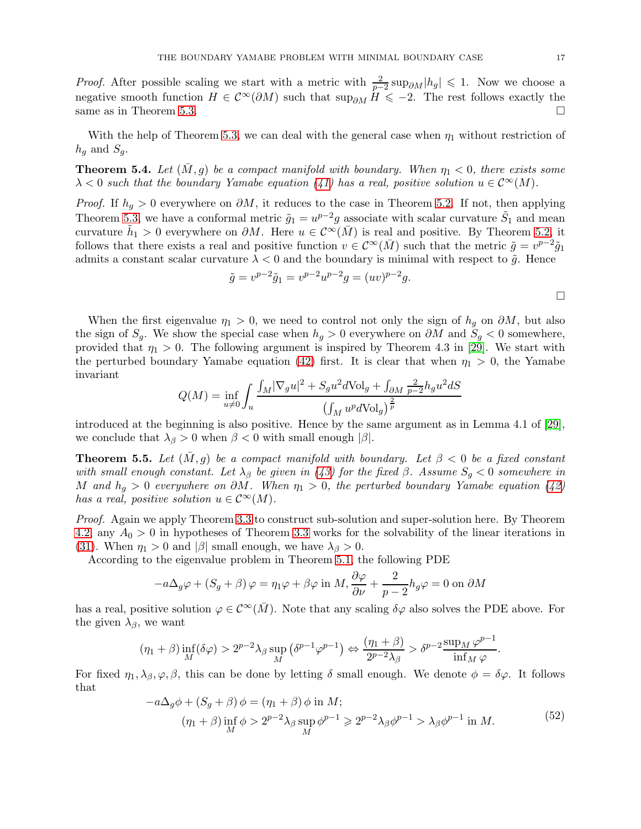*Proof.* After possible scaling we start with a metric with  $\frac{2}{p-2} \sup_{\partial M} |h_g| \leq 1$ . Now we choose a negative smooth function  $H \in C^{\infty}(\partial M)$  such that sup<sub> $\partial M$ </sub>  $H \leq -2$ . The rest follows exactly the same as in Theorem [5.3.](#page-15-0)

With the help of Theorem [5.3,](#page-15-0) we can deal with the general case when  $\eta_1$  without restriction of  $h_g$  and  $S_g$ .

<span id="page-16-0"></span>**Theorem 5.4.** Let  $(M, g)$  be a compact manifold with boundary. When  $\eta_1 < 0$ , there exists some  $\lambda$  < 0 such that the boundary Yamabe equation [\(41\)](#page-13-2) has a real, positive solution  $u \in C^{\infty}(M)$ .

*Proof.* If  $h_g > 0$  everywhere on  $\partial M$ , it reduces to the case in Theorem [5.2.](#page-13-0) If not, then applying Theorem [5.3,](#page-15-0) we have a conformal metric  $\tilde{g}_1 = u^{p-2}g$  associate with scalar curvature  $\tilde{S}_1$  and mean curvature  $\tilde{h}_1 > 0$  everywhere on  $\partial M$ . Here  $u \in C^{\infty}(\bar{M})$  is real and positive. By Theorem [5.2,](#page-13-0) it follows that there exists a real and positive function  $v \in C^{\infty}(\bar{M})$  such that the metric  $\tilde{g} = v^{p-2}\tilde{g}_1$ admits a constant scalar curvature  $\lambda < 0$  and the boundary is minimal with respect to  $\tilde{g}$ . Hence

$$
\tilde{g} = v^{p-2}\tilde{g}_1 = v^{p-2}u^{p-2}g = (uv)^{p-2}g.
$$

When the first eigenvalue  $\eta_1 > 0$ , we need to control not only the sign of  $h_g$  on  $\partial M$ , but also the sign of  $S_g$ . We show the special case when  $h_g > 0$  everywhere on  $\partial M$  and  $S_g < 0$  somewhere, provided that  $\eta_1 > 0$ . The following argument is inspired by Theorem 4.3 in [\[29\]](#page-24-1). We start with the perturbed boundary Yamabe equation [\(42\)](#page-13-4) first. It is clear that when  $\eta_1 > 0$ , the Yamabe invariant

$$
Q(M) = \inf_{u \neq 0} \int_{u} \frac{\int_{M} |\nabla_{g} u|^{2} + S_{g} u^{2} d\text{Vol}_{g} + \int_{\partial M} \frac{2}{p-2} h_{g} u^{2} dS}{(\int_{M} u^{p} d\text{Vol}_{g})^{\frac{2}{p}}}
$$

introduced at the beginning is also positive. Hence by the same argument as in Lemma 4.1 of [\[29\]](#page-24-1), we conclude that  $\lambda_{\beta} > 0$  when  $\beta < 0$  with small enough  $|\beta|$ .

<span id="page-16-1"></span>**Theorem 5.5.** Let  $(M, g)$  be a compact manifold with boundary. Let  $\beta < 0$  be a fixed constant with small enough constant. Let  $\lambda_{\beta}$  be given in [\(43\)](#page-13-5) for the fixed  $\beta$ . Assume  $S_q < 0$  somewhere in M and  $h_q > 0$  everywhere on  $\partial M$ . When  $\eta_1 > 0$ , the perturbed boundary Yamabe equation [\(42\)](#page-13-4) has a real, positive solution  $u \in C^{\infty}(M)$ .

Proof. Again we apply Theorem [3.3](#page-9-0) to construct sub-solution and super-solution here. By Theorem [4.2,](#page-12-1) any  $A_0 > 0$  in hypotheses of Theorem [3.3](#page-9-0) works for the solvability of the linear iterations in [\(31\)](#page-10-1). When  $\eta_1 > 0$  and  $|\beta|$  small enough, we have  $\lambda_{\beta} > 0$ .

According to the eigenvalue problem in Theorem [5.1,](#page-13-3) the following PDE

$$
-a\Delta_g\varphi + (S_g + \beta)\varphi = \eta_1\varphi + \beta\varphi \text{ in } M, \frac{\partial\varphi}{\partial\nu} + \frac{2}{p-2}h_g\varphi = 0 \text{ on } \partial M
$$

has a real, positive solution  $\varphi \in C^{\infty}(\overline{M})$ . Note that any scaling  $\delta \varphi$  also solves the PDE above. For the given  $\lambda_{\beta}$ , we want

$$
(\eta_1 + \beta) \inf_M(\delta \varphi) > 2^{p-2} \lambda_\beta \sup_M (\delta^{p-1} \varphi^{p-1}) \Leftrightarrow \frac{(\eta_1 + \beta)}{2^{p-2} \lambda_\beta} > \delta^{p-2} \frac{\sup_M \varphi^{p-1}}{\inf_M \varphi}.
$$

For fixed  $\eta_1, \lambda_\beta, \varphi, \beta$ , this can be done by letting  $\delta$  small enough. We denote  $\phi = \delta \varphi$ . It follows that

$$
-a\Delta_g \phi + (S_g + \beta) \phi = (\eta_1 + \beta) \phi \text{ in } M; (\eta_1 + \beta) \inf_M \phi > 2^{p-2}\lambda_\beta \sup_M \phi^{p-1} \ge 2^{p-2}\lambda_\beta \phi^{p-1} > \lambda_\beta \phi^{p-1} \text{ in } M.
$$
(52)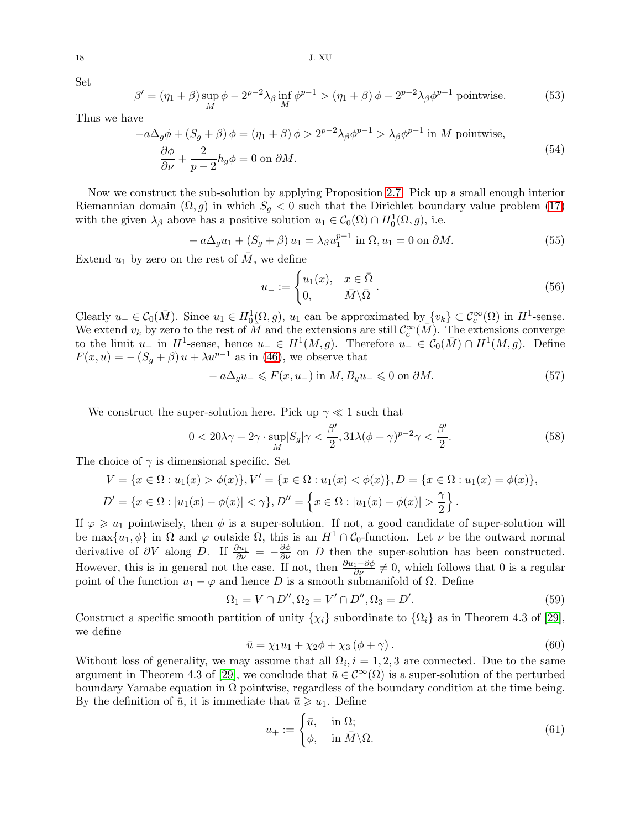18 J. XU

Set

$$
\beta' = (\eta_1 + \beta) \sup_M \phi - 2^{p-2} \lambda_\beta \inf_M \phi^{p-1} > (\eta_1 + \beta) \phi - 2^{p-2} \lambda_\beta \phi^{p-1} \text{ pointwise.}
$$
 (53)

<span id="page-17-0"></span>Thus we have

$$
-a\Delta_g \phi + (S_g + \beta)\phi = (\eta_1 + \beta)\phi > 2^{p-2}\lambda_\beta \phi^{p-1} > \lambda_\beta \phi^{p-1}
$$
in M pointwise,  

$$
\frac{\partial \phi}{\partial \nu} + \frac{2}{p-2}h_g \phi = 0
$$
on  $\partial M$ . (54)

Now we construct the sub-solution by applying Proposition [2.7.](#page-6-4) Pick up a small enough interior Riemannian domain  $(\Omega, g)$  in which  $S_g < 0$  such that the Dirichlet boundary value problem [\(17\)](#page-6-5) with the given  $\lambda_{\beta}$  above has a positive solution  $u_1 \in C_0(\Omega) \cap H_0^1(\Omega, g)$ , i.e.

$$
-a\Delta_g u_1 + (S_g + \beta) u_1 = \lambda_\beta u_1^{p-1} \text{ in } \Omega, u_1 = 0 \text{ on } \partial M. \tag{55}
$$

Extend  $u_1$  by zero on the rest of  $M$ , we define

$$
u_{-} := \begin{cases} u_{1}(x), & x \in \bar{\Omega} \\ 0, & \bar{M} \backslash \bar{\Omega} \end{cases}.
$$
 (56)

Clearly  $u_-\in C_0(\bar{M})$ . Since  $u_1\in H_0^1(\Omega,g)$ ,  $u_1$  can be approximated by  $\{v_k\}\subset \mathcal{C}_c^{\infty}(\Omega)$  in  $H^1$ -sense. We extend  $v_k$  by zero to the rest of  $\overline{M}$  and the extensions are still  $\mathcal{C}_c^{\infty}(\overline{M})$ . The extensions converge to the limit  $u_-$  in  $H^1$ -sense, hence  $u_-\in H^1(M, g)$ . Therefore  $u_-\in \mathcal{C}_0(\bar{M})\cap H^1(M, g)$ . Define  $F(x, u) = -(S_g + \beta) u + \lambda u^{p-1}$  as in [\(46\)](#page-14-1), we observe that

<span id="page-17-1"></span>
$$
- a\Delta_g u_- \leqslant F(x, u_-) \text{ in } M, B_g u_- \leqslant 0 \text{ on } \partial M. \tag{57}
$$

We construct the super-solution here. Pick up  $\gamma \ll 1$  such that

$$
0 < 20\lambda\gamma + 2\gamma \cdot \sup_{M} |S_g|\gamma < \frac{\beta'}{2}, 31\lambda(\phi + \gamma)^{p-2}\gamma < \frac{\beta'}{2}.\tag{58}
$$

The choice of  $\gamma$  is dimensional specific. Set

$$
V = \{x \in \Omega : u_1(x) > \phi(x)\}, V' = \{x \in \Omega : u_1(x) < \phi(x)\}, D = \{x \in \Omega : u_1(x) = \phi(x)\},
$$
  

$$
D' = \{x \in \Omega : |u_1(x) - \phi(x)| < \gamma\}, D'' = \{x \in \Omega : |u_1(x) - \phi(x)| > \frac{\gamma}{2}\}.
$$

If  $\varphi \geq u_1$  pointwisely, then  $\phi$  is a super-solution. If not, a good candidate of super-solution will be max $\{u_1, \phi\}$  in  $\Omega$  and  $\varphi$  outside  $\Omega$ , this is an  $H^1 \cap C_0$ -function. Let  $\nu$  be the outward normal derivative of  $\partial V$  along D. If  $\frac{\partial u_1}{\partial \nu} = -\frac{\partial \phi}{\partial \nu}$  on D then the super-solution has been constructed. However, this is in general not the case. If not, then  $\frac{\partial u_1 - \partial \phi}{\partial \nu} \neq 0$ , which follows that 0 is a regular point of the function  $u_1 - \varphi$  and hence D is a smooth submanifold of  $\Omega$ . Define

$$
\Omega_1 = V \cap D'', \Omega_2 = V' \cap D'', \Omega_3 = D'.
$$
\n(59)

Construct a specific smooth partition of unity  $\{\chi_i\}$  subordinate to  $\{\Omega_i\}$  as in Theorem 4.3 of [\[29\]](#page-24-1), we define

$$
\bar{u} = \chi_1 u_1 + \chi_2 \phi + \chi_3 \left(\phi + \gamma\right). \tag{60}
$$

Without loss of generality, we may assume that all  $\Omega_i$ ,  $i = 1, 2, 3$  are connected. Due to the same argument in Theorem 4.3 of [\[29\]](#page-24-1), we conclude that  $\bar{u} \in C^{\infty}(\Omega)$  is a super-solution of the perturbed boundary Yamabe equation in  $\Omega$  pointwise, regardless of the boundary condition at the time being. By the definition of  $\bar{u}$ , it is immediate that  $\bar{u} \geq u_1$ . Define

$$
u_{+} := \begin{cases} \bar{u}, & \text{in } \Omega; \\ \phi, & \text{in } \bar{M} \setminus \Omega. \end{cases}
$$
 (61)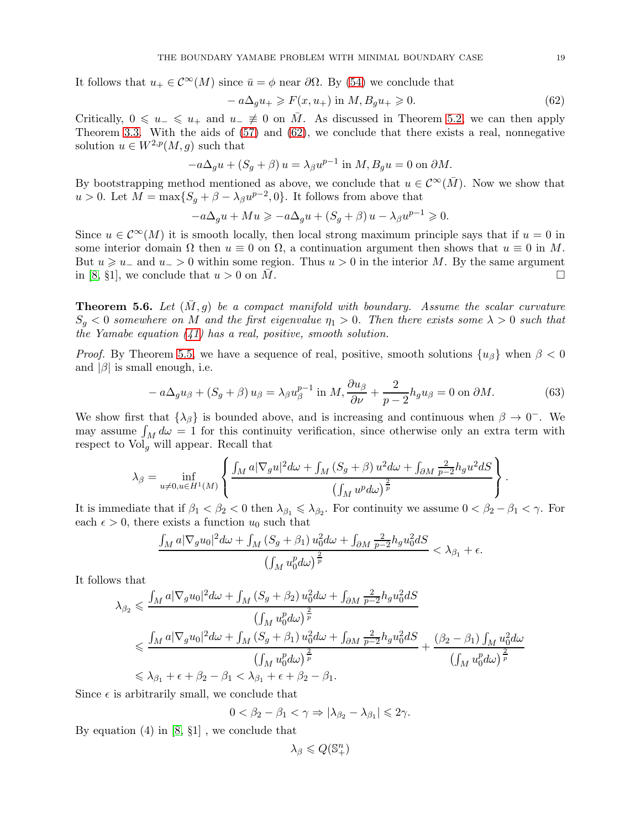It follows that  $u_+ \in \mathcal{C}^{\infty}(M)$  since  $\bar{u} = \phi$  near  $\partial \Omega$ . By [\(54\)](#page-17-0) we conclude that

<span id="page-18-1"></span>
$$
-a\Delta_g u_+ \geqslant F(x, u_+) \text{ in } M, B_g u_+ \geqslant 0. \tag{62}
$$

Critically,  $0 \leq u_{-} \leq u_{+}$  and  $u_{-} \neq 0$  on  $\overline{M}$ . As discussed in Theorem [5.2,](#page-13-0) we can then apply Theorem [3.3.](#page-9-0) With the aids of [\(57\)](#page-17-1) and [\(62\)](#page-18-1), we conclude that there exists a real, nonnegative solution  $u \in W^{2,p}(M, q)$  such that

$$
-a\Delta_g u + (S_g + \beta) u = \lambda_\beta u^{p-1} \text{ in } M, B_g u = 0 \text{ on } \partial M.
$$

By bootstrapping method mentioned as above, we conclude that  $u \in C^{\infty}(\overline{M})$ . Now we show that  $u > 0$ . Let  $M = \max\{S_g + \beta - \lambda_\beta u^{p-2}, 0\}$ . It follows from above that

$$
-a\Delta_g u + Mu \ge -a\Delta_g u + (S_g + \beta) u - \lambda_\beta u^{p-1} \ge 0.
$$

Since  $u \in \mathcal{C}^{\infty}(M)$  it is smooth locally, then local strong maximum principle says that if  $u = 0$  in some interior domain  $\Omega$  then  $u \equiv 0$  on  $\Omega$ , a continuation argument then shows that  $u \equiv 0$  in M. But  $u \geq u_-\$  and  $u_-\geq 0$  within some region. Thus  $u > 0$  in the interior M. By the same argument in [\[8,](#page-24-8) §1], we conclude that  $u > 0$  on  $\overline{M}$ .

<span id="page-18-0"></span>**Theorem 5.6.** Let  $(\overline{M}, g)$  be a compact manifold with boundary. Assume the scalar curvature  $S_q < 0$  somewhere on M and the first eigenvalue  $\eta_1 > 0$ . Then there exists some  $\lambda > 0$  such that the Yamabe equation  $(41)$  has a real, positive, smooth solution.

*Proof.* By Theorem [5.5,](#page-16-1) we have a sequence of real, positive, smooth solutions  $\{u_\beta\}$  when  $\beta < 0$ and  $|\beta|$  is small enough, i.e.

<span id="page-18-2"></span>
$$
-a\Delta_g u_\beta + (S_g + \beta) u_\beta = \lambda_\beta u_\beta^{p-1} \text{ in } M, \frac{\partial u_\beta}{\partial \nu} + \frac{2}{p-2} h_g u_\beta = 0 \text{ on } \partial M. \tag{63}
$$

We show first that  $\{\lambda_\beta\}$  is bounded above, and is increasing and continuous when  $\beta \to 0^-$ . We may assume  $\int_M d\omega = 1$  for this continuity verification, since otherwise only an extra term with respect to  $Vol_q$  will appear. Recall that

$$
\lambda_{\beta} = \inf_{u \neq 0, u \in H^{1}(M)} \left\{ \frac{\int_{M} a |\nabla_{g} u|^{2} d\omega + \int_{M} (S_{g} + \beta) u^{2} d\omega + \int_{\partial M} \frac{2}{p-2} h_{g} u^{2} dS}{\left(\int_{M} u^{p} d\omega\right)^{\frac{2}{p}}} \right\}.
$$

It is immediate that if  $\beta_1 < \beta_2 < 0$  then  $\lambda_{\beta_1} \leq \lambda_{\beta_2}$ . For continuity we assume  $0 < \beta_2 - \beta_1 < \gamma$ . For each  $\epsilon > 0$ , there exists a function  $u_0$  such that

$$
\frac{\int_M a |\nabla_g u_0|^2 d\omega + \int_M (S_g + \beta_1) u_0^2 d\omega + \int_{\partial M} \frac{2}{p-2} h_g u_0^2 dS}{\left(\int_M u_0^p d\omega\right)^{\frac{2}{p}}} < \lambda_{\beta_1} + \epsilon.
$$

It follows that

$$
\lambda_{\beta_2} \leq \frac{\int_M a |\nabla_g u_0|^2 d\omega + \int_M (S_g + \beta_2) u_0^2 d\omega + \int_{\partial M} \frac{2}{p-2} h_g u_0^2 dS}{\left(\int_M u_0^p d\omega\right)^{\frac{2}{p}}} \leq \frac{\int_M a |\nabla_g u_0|^2 d\omega + \int_M (S_g + \beta_1) u_0^2 d\omega + \int_{\partial M} \frac{2}{p-2} h_g u_0^2 dS}{\left(\int_M u_0^p d\omega\right)^{\frac{2}{p}}} + \frac{(\beta_2 - \beta_1) \int_M u_0^2 d\omega}{\left(\int_M u_0^p d\omega\right)^{\frac{2}{p}}} \leq \lambda_{\beta_1} + \epsilon + \beta_2 - \beta_1 < \lambda_{\beta_1} + \epsilon + \beta_2 - \beta_1.
$$

Since  $\epsilon$  is arbitrarily small, we conclude that

$$
0 < \beta_2 - \beta_1 < \gamma \Rightarrow |\lambda_{\beta_2} - \lambda_{\beta_1}| \leqslant 2\gamma.
$$

By equation  $(4)$  in  $[8, \S1]$ , we conclude that

$$
\lambda_\beta\leqslant Q(\mathbb{S}^n_+)
$$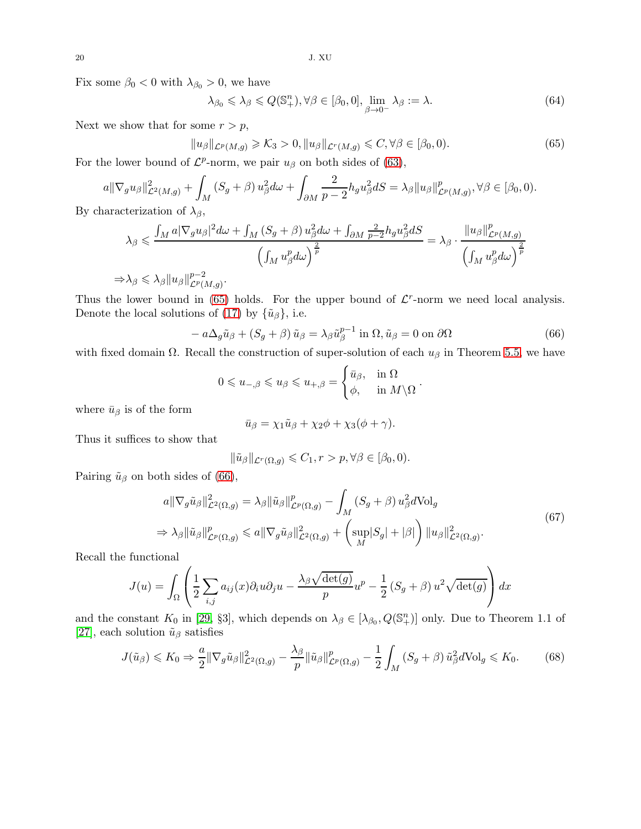20 J. XU

Fix some  $\beta_0 < 0$  with  $\lambda_{\beta_0} > 0$ , we have

<span id="page-19-4"></span>
$$
\lambda_{\beta_0} \leqslant \lambda_{\beta} \leqslant Q(\mathbb{S}_+^n), \forall \beta \in [\beta_0, 0], \lim_{\beta \to 0^-} \lambda_{\beta} := \lambda. \tag{64}
$$

Next we show that for some  $r > p$ ,

<span id="page-19-0"></span>
$$
||u_{\beta}||_{\mathcal{L}^p(M,g)} \geqslant \mathcal{K}_3 > 0, \quad ||u_{\beta}||_{\mathcal{L}^r(M,g)} \leqslant C, \forall \beta \in [\beta_0, 0). \tag{65}
$$

For the lower bound of  $\mathcal{L}^p$ -norm, we pair  $u_\beta$  on both sides of [\(63\)](#page-18-2),

$$
a \|\nabla_g u_\beta\|_{\mathcal{L}^2(M,g)}^2 + \int_M (S_g + \beta) u_\beta^2 d\omega + \int_{\partial M} \frac{2}{p-2} h_g u_\beta^2 dS = \lambda_\beta \|u_\beta\|_{\mathcal{L}^p(M,g)}^p, \forall \beta \in [\beta_0, 0).
$$

By characterization of  $\lambda_{\beta}$ ,

$$
\lambda_{\beta} \leq \frac{\int_{M} a |\nabla_{g} u_{\beta}|^{2} d\omega + \int_{M} (S_{g} + \beta) u_{\beta}^{2} d\omega + \int_{\partial M} \frac{2}{p-2} h_{g} u_{\beta}^{2} dS}{\left(\int_{M} u_{\beta}^{p} d\omega\right)^{\frac{2}{p}}} = \lambda_{\beta} \cdot \frac{||u_{\beta}||_{L^{p}(M,g)}^{p}}{\left(\int_{M} u_{\beta}^{p} d\omega\right)^{\frac{2}{p}}}
$$

 $\Rightarrow$   $\lambda_{\beta} \leqslant \lambda_{\beta} \| u_{\beta} \|_{\mathcal{L}^{p}(L)}^{p-2}$  $_{\mathcal{L}^p(M,g)}^{p-z}.$ 

Thus the lower bound in [\(65\)](#page-19-0) holds. For the upper bound of  $\mathcal{L}^r$ -norm we need local analysis. Denote the local solutions of [\(17\)](#page-6-5) by  $\{\tilde{u}_{\beta}\}\,$ , i.e.

<span id="page-19-1"></span>
$$
- a\Delta_g \tilde{u}_{\beta} + (S_g + \beta) \tilde{u}_{\beta} = \lambda_{\beta} \tilde{u}_{\beta}^{p-1} \text{ in } \Omega, \tilde{u}_{\beta} = 0 \text{ on } \partial\Omega
$$
 (66)

with fixed domain  $\Omega$ . Recall the construction of super-solution of each  $u_{\beta}$  in Theorem [5.5,](#page-16-1) we have

$$
0 \leqslant u_{-,\beta} \leqslant u_{\beta} \leqslant u_{+,\beta} = \begin{cases} \bar{u}_{\beta}, & \text{in } \Omega \\ \phi, & \text{in } M \setminus \Omega \end{cases}.
$$

where  $\bar{u}_{\beta}$  is of the form

$$
\bar{u}_{\beta} = \chi_1 \tilde{u}_{\beta} + \chi_2 \phi + \chi_3 (\phi + \gamma).
$$

Thus it suffices to show that

$$
\|\tilde{u}_{\beta}\|_{\mathcal{L}^r(\Omega,g)} \leqslant C_1, r > p, \forall \beta \in [\beta_0, 0).
$$

Pairing  $\tilde{u}_{\beta}$  on both sides of [\(66\)](#page-19-1),

$$
a \|\nabla_g \tilde{u}_{\beta}\|_{\mathcal{L}^2(\Omega,g)}^2 = \lambda_{\beta} \|\tilde{u}_{\beta}\|_{\mathcal{L}^p(\Omega,g)}^p - \int_M (S_g + \beta) u_{\beta}^2 d\text{Vol}_g
$$
  
\n
$$
\Rightarrow \lambda_{\beta} \|\tilde{u}_{\beta}\|_{\mathcal{L}^p(\Omega,g)}^p \le a \|\nabla_g \tilde{u}_{\beta}\|_{\mathcal{L}^2(\Omega,g)}^2 + \left(\sup_M |S_g| + |\beta|\right) \|u_{\beta}\|_{\mathcal{L}^2(\Omega,g)}^2.
$$
\n
$$
(67)
$$

<span id="page-19-2"></span>Recall the functional

$$
J(u) = \int_{\Omega} \left( \frac{1}{2} \sum_{i,j} a_{ij}(x) \partial_i u \partial_j u - \frac{\lambda_{\beta} \sqrt{\det(g)}}{p} u^p - \frac{1}{2} \left( S_g + \beta \right) u^2 \sqrt{\det(g)} \right) dx
$$

and the constant  $K_0$  in [\[29,](#page-24-1) §3], which depends on  $\lambda_\beta \in [\lambda_{\beta_0}, Q(\mathbb{S}_+^n)]$  only. Due to Theorem 1.1 of [\[27\]](#page-24-27), each solution  $\tilde{u}_{\beta}$  satisfies

<span id="page-19-3"></span>
$$
J(\tilde{u}_{\beta}) \leqslant K_0 \Rightarrow \frac{a}{2} \|\nabla_g \tilde{u}_{\beta}\|_{\mathcal{L}^2(\Omega, g)}^2 - \frac{\lambda_{\beta}}{p} \|\tilde{u}_{\beta}\|_{\mathcal{L}^p(\Omega, g)}^p - \frac{1}{2} \int_M (S_g + \beta) \,\tilde{u}_{\beta}^2 d\text{Vol}_g \leqslant K_0. \tag{68}
$$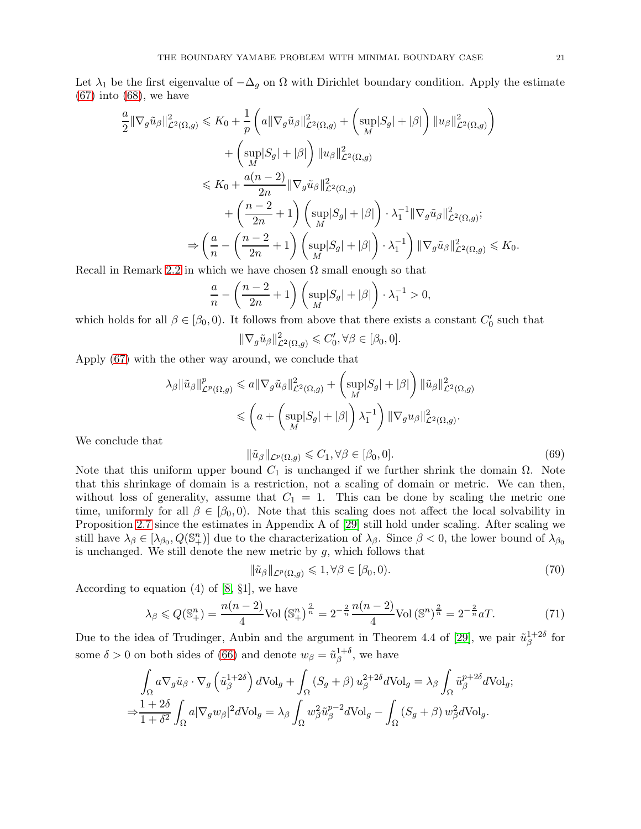Let  $\lambda_1$  be the first eigenvalue of  $-\Delta_g$  on  $\Omega$  with Dirichlet boundary condition. Apply the estimate  $(67)$  into  $(68)$ , we have

$$
\frac{a}{2} \|\nabla_g \tilde{u}_{\beta}\|_{\mathcal{L}^2(\Omega,g)}^2 \leq K_0 + \frac{1}{p} \left( a \|\nabla_g \tilde{u}_{\beta}\|_{\mathcal{L}^2(\Omega,g)}^2 + \left( \sup_M |S_g| + |\beta| \right) \|u_{\beta}\|_{\mathcal{L}^2(\Omega,g)}^2 \right) \n+ \left( \sup_M |S_g| + |\beta| \right) \|u_{\beta}\|_{\mathcal{L}^2(\Omega,g)}^2 \n\leq K_0 + \frac{a(n-2)}{2n} \|\nabla_g \tilde{u}_{\beta}\|_{\mathcal{L}^2(\Omega,g)}^2 \n+ \left( \frac{n-2}{2n} + 1 \right) \left( \sup_M |S_g| + |\beta| \right) \cdot \lambda_1^{-1} \|\nabla_g \tilde{u}_{\beta}\|_{\mathcal{L}^2(\Omega,g)}^2; \n\Rightarrow \left( \frac{a}{n} - \left( \frac{n-2}{2n} + 1 \right) \left( \sup_M |S_g| + |\beta| \right) \cdot \lambda_1^{-1} \right) \|\nabla_g \tilde{u}_{\beta}\|_{\mathcal{L}^2(\Omega,g)}^2 \leq K_0.
$$

Recall in Remark [2.2](#page-6-6) in which we have chosen  $\Omega$  small enough so that

$$
\frac{a}{n} - \left(\frac{n-2}{2n} + 1\right) \left(\sup_M |S_g| + |\beta|\right) \cdot \lambda_1^{-1} > 0,
$$

which holds for all  $\beta \in [\beta_0, 0)$ . It follows from above that there exists a constant  $C'_0$  such that

$$
\|\nabla_g \tilde{u}_{\beta}\|_{\mathcal{L}^2(\Omega,g)}^2 \leq C'_0, \forall \beta \in [\beta_0, 0].
$$

Apply [\(67\)](#page-19-2) with the other way around, we conclude that

$$
\lambda_{\beta} \|\tilde{u}_{\beta}\|_{\mathcal{L}^{p}(\Omega,g)}^{p} \leq a \|\nabla_{g} \tilde{u}_{\beta}\|_{\mathcal{L}^{2}(\Omega,g)}^{2} + \left(\sup_{M} |S_{g}| + |\beta|\right) \|\tilde{u}_{\beta}\|_{\mathcal{L}^{2}(\Omega,g)}^{2}
$$

$$
\leq \left(a + \left(\sup_{M} |S_{g}| + |\beta|\right) \lambda_{1}^{-1}\right) \|\nabla_{g} u_{\beta}\|_{\mathcal{L}^{2}(\Omega,g)}^{2}.
$$

We conclude that

$$
\|\tilde{u}_{\beta}\|_{\mathcal{L}^p(\Omega,g)} \leq C_1, \forall \beta \in [\beta_0, 0].\tag{69}
$$

Note that this uniform upper bound  $C_1$  is unchanged if we further shrink the domain  $\Omega$ . Note that this shrinkage of domain is a restriction, not a scaling of domain or metric. We can then, without loss of generality, assume that  $C_1 = 1$ . This can be done by scaling the metric one time, uniformly for all  $\beta \in [\beta_0, 0]$ . Note that this scaling does not affect the local solvability in Proposition [2.7](#page-6-4) since the estimates in Appendix A of [\[29\]](#page-24-1) still hold under scaling. After scaling we still have  $\lambda_{\beta} \in [\lambda_{\beta_0}, Q(\mathbb{S}_+^n)]$  due to the characterization of  $\lambda_{\beta}$ . Since  $\beta < 0$ , the lower bound of  $\lambda_{\beta_0}$ is unchanged. We still denote the new metric by  $g$ , which follows that

$$
\|\tilde{u}_{\beta}\|_{\mathcal{L}^p(\Omega,g)} \leq 1, \forall \beta \in [\beta_0, 0). \tag{70}
$$

According to equation (4) of [\[8,](#page-24-8) §1], we have

<span id="page-20-0"></span>
$$
\lambda_{\beta} \leq Q(\mathbb{S}_{+}^{n}) = \frac{n(n-2)}{4} \text{Vol}\left(\mathbb{S}_{+}^{n}\right)^{\frac{2}{n}} = 2^{-\frac{2}{n}} \frac{n(n-2)}{4} \text{Vol}\left(\mathbb{S}^{n}\right)^{\frac{2}{n}} = 2^{-\frac{2}{n}} aT. \tag{71}
$$

Due to the idea of Trudinger, Aubin and the argument in Theorem 4.4 of [\[29\]](#page-24-1), we pair  $\tilde{u}^{1+2\delta}_\beta$  $\mathop{\beta}\limits^{1+2\sigma}$  for some  $\delta > 0$  on both sides of [\(66\)](#page-19-1) and denote  $w_{\beta} = \tilde{u}_{\beta}^{1+\delta}$  $\beta^{1+o}$ , we have

$$
\int_{\Omega} a \nabla_g \tilde{u}_{\beta} \cdot \nabla_g \left( \tilde{u}_{\beta}^{1+2\delta} \right) dVol_g + \int_{\Omega} \left( S_g + \beta \right) u_{\beta}^{2+2\delta} dVol_g = \lambda_{\beta} \int_{\Omega} \tilde{u}_{\beta}^{p+2\delta} dVol_g;
$$
  

$$
\Rightarrow \frac{1+2\delta}{1+\delta^2} \int_{\Omega} a |\nabla_g w_{\beta}|^2 dVol_g = \lambda_{\beta} \int_{\Omega} w_{\beta}^2 \tilde{u}_{\beta}^{p-2} dVol_g - \int_{\Omega} \left( S_g + \beta \right) w_{\beta}^2 dVol_g.
$$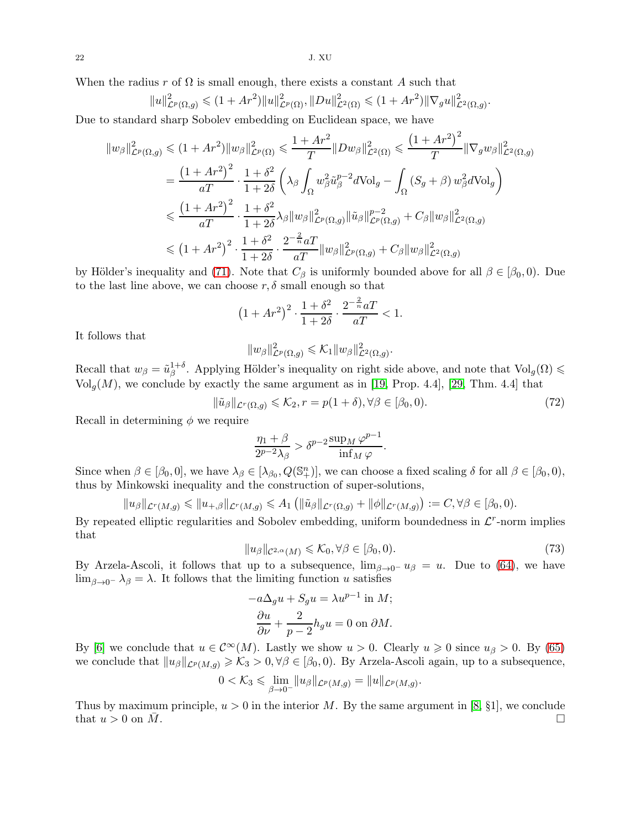$22$  J. XU

When the radius r of  $\Omega$  is small enough, there exists a constant A such that

$$
||u||_{\mathcal{L}^p(\Omega,g)}^2 \leq (1+Ar^2)||u||_{\mathcal{L}^p(\Omega)}^2, ||Du||_{\mathcal{L}^2(\Omega)}^2 \leq (1+Ar^2)||\nabla_g u||_{\mathcal{L}^2(\Omega,g)}^2.
$$

Due to standard sharp Sobolev embedding on Euclidean space, we have

$$
\|w_{\beta}\|_{\mathcal{L}^{p}(\Omega,g)}^{2} \leq (1+Ar^{2})\|w_{\beta}\|_{\mathcal{L}^{p}(\Omega)}^{2} \leq \frac{1+Ar^{2}}{T}\|Dw_{\beta}\|_{\mathcal{L}^{2}(\Omega)}^{2} \leq \frac{(1+Ar^{2})^{2}}{T}\|\nabla_{g}w_{\beta}\|_{\mathcal{L}^{2}(\Omega,g)}^{2}
$$

$$
= \frac{(1+Ar^{2})^{2}}{aT} \cdot \frac{1+\delta^{2}}{1+2\delta} \left(\lambda_{\beta} \int_{\Omega} w_{\beta}^{2} \tilde{u}_{\beta}^{p-2} d\text{Vol}_{g} - \int_{\Omega} (S_{g}+\beta) w_{\beta}^{2} d\text{Vol}_{g}\right)
$$

$$
\leq \frac{(1+Ar^{2})^{2}}{aT} \cdot \frac{1+\delta^{2}}{1+2\delta} \lambda_{\beta} \|w_{\beta}\|_{\mathcal{L}^{p}(\Omega,g)}^{2} \|\tilde{u}_{\beta}\|_{\mathcal{L}^{p}(\Omega,g)}^{p-2} + C_{\beta} \|w_{\beta}\|_{\mathcal{L}^{2}(\Omega,g)}^{2}
$$

$$
\leq (1+Ar^{2})^{2} \cdot \frac{1+\delta^{2}}{1+2\delta} \cdot \frac{2^{-\frac{2}{n}}aT}{aT} \|w_{\beta}\|_{\mathcal{L}^{p}(\Omega,g)}^{2} + C_{\beta} \|w_{\beta}\|_{\mathcal{L}^{2}(\Omega,g)}^{2}
$$

by Hölder's inequality and [\(71\)](#page-20-0). Note that  $C_\beta$  is uniformly bounded above for all  $\beta \in [\beta_0, 0]$ . Due to the last line above, we can choose  $r, \delta$  small enough so that

$$
(1 + Ar^2)^2 \cdot \frac{1 + \delta^2}{1 + 2\delta} \cdot \frac{2^{-\frac{2}{n}} aT}{aT} < 1.
$$

It follows that

$$
||w_{\beta}||_{\mathcal{L}^{p}(\Omega,g)}^{2} \leqslant \mathcal{K}_{1}||w_{\beta}||_{\mathcal{L}^{2}(\Omega,g)}^{2}.
$$

Recall that  $w_{\beta} = \tilde{u}_{\beta}^{1+\delta}$ <sup>1+ $\delta$ </sup>. Applying Hölder's inequality on right side above, and note that  $Vol_g(\Omega)$   $\leq$  $\text{Vol}_g(M)$ , we conclude by exactly the same argument as in [\[19,](#page-24-16) Prop. 4.4], [\[29,](#page-24-1) Thm. 4.4] that

$$
\|\tilde{u}_{\beta}\|_{\mathcal{L}^r(\Omega,g)} \leqslant \mathcal{K}_2, r = p(1+\delta), \forall \beta \in [\beta_0, 0). \tag{72}
$$

.

Recall in determining  $\phi$  we require

$$
\frac{\eta_1 + \beta}{2^{p-2}\lambda_{\beta}} > \delta^{p-2} \frac{\sup_M \varphi^{p-1}}{\inf_M \varphi}
$$

Since when  $\beta \in [\beta_0, 0]$ , we have  $\lambda_{\beta} \in [\lambda_{\beta_0}, Q(\mathbb{S}_{+}^{n})]$ , we can choose a fixed scaling  $\delta$  for all  $\beta \in [\beta_0, 0)$ , thus by Minkowski inequality and the construction of super-solutions,

$$
||u_{\beta}||_{\mathcal{L}^{r}(M,g)} \leq ||u_{+,\beta}||_{\mathcal{L}^{r}(M,g)} \leq A_{1} \left( ||\tilde{u}_{\beta}||_{\mathcal{L}^{r}(\Omega,g)} + ||\phi||_{\mathcal{L}^{r}(M,g)} \right) := C, \forall \beta \in [\beta_{0}, 0).
$$

By repeated elliptic regularities and Sobolev embedding, uniform boundedness in  $\mathcal{L}^r$ -norm implies that

$$
||u_{\beta}||_{\mathcal{C}^{2,\alpha}(M)} \leq \mathcal{K}_0, \forall \beta \in [\beta_0, 0). \tag{73}
$$

By Arzela-Ascoli, it follows that up to a subsequence,  $\lim_{\beta \to 0^-} u_{\beta} = u$ . Due to [\(64\)](#page-19-4), we have lim<sub>β→0</sub>−  $\lambda_\beta = \lambda$ . It follows that the limiting function u satisfies

$$
-a\Delta_g u + S_g u = \lambda u^{p-1} \text{ in } M;
$$

$$
\frac{\partial u}{\partial \nu} + \frac{2}{p-2} h_g u = 0 \text{ on } \partial M.
$$

By [\[6\]](#page-24-28) we conclude that  $u \in C^{\infty}(M)$ . Lastly we show  $u > 0$ . Clearly  $u \ge 0$  since  $u_{\beta} > 0$ . By [\(65\)](#page-19-0) we conclude that  $||u_{\beta}||_{\mathcal{L}^p(M,g)} \geq \mathcal{K}_3 > 0, \forall \beta \in [\beta_0,0)$ . By Arzela-Ascoli again, up to a subsequence,

$$
0<\mathcal{K}_3\leqslant \lim_{\beta\to 0^-}\|u_\beta\|_{\mathcal{L}^p(M,g)}=\|u\|_{\mathcal{L}^p(M,g)}.
$$

Thus by maximum principle,  $u > 0$  in the interior M. By the same argument in [\[8,](#page-24-8) §1], we conclude that  $u > 0$  on M.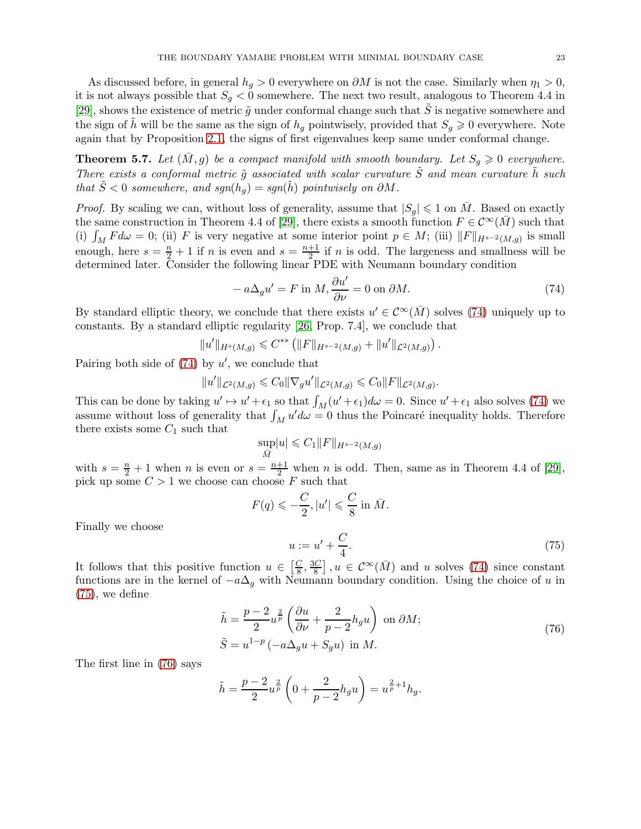As discussed before, in general  $h_g > 0$  everywhere on  $\partial M$  is not the case. Similarly when  $\eta_1 > 0$ , it is not always possible that  $S_g < 0$  somewhere. The next two result, analogous to Theorem 4.4 in [\[29\]](#page-24-1), shows the existence of metric  $\tilde{q}$  under conformal change such that  $\tilde{S}$  is negative somewhere and the sign of h will be the same as the sign of  $h_q$  pointwisely, provided that  $S_q \geq 0$  everywhere. Note again that by Proposition [2.1,](#page-4-3) the signs of first eigenvalues keep same under conformal change.

<span id="page-22-0"></span>**Theorem 5.7.** Let  $(\bar{M}, g)$  be a compact manifold with smooth boundary. Let  $S_q \geq 0$  everywhere. There exists a conformal metric  $\tilde{q}$  associated with scalar curvature  $\tilde{S}$  and mean curvature h such that  $\tilde{S} < 0$  somewhere, and sgn(h<sub>g</sub>) = sgn(h) pointwisely on  $\partial M$ .

*Proof.* By scaling we can, without loss of generality, assume that  $|S_q| \leq 1$  on M. Based on exactly the same construction in Theorem 4.4 of [\[29\]](#page-24-1), there exists a smooth function  $F \in \mathcal{C}^{\infty}(M)$  such that (i)  $\int_M F d\omega = 0$ ; (ii) F is very negative at some interior point  $p \in M$ ; (iii)  $||F||_{H^{s-2}(M,g)}$  is small enough, here  $s = \frac{n}{2} + 1$  if *n* is even and  $s = \frac{n+1}{2}$  $\frac{+1}{2}$  if *n* is odd. The largeness and smallness will be determined later. Consider the following linear PDE with Neumann boundary condition

<span id="page-22-1"></span>
$$
- a\Delta_g u' = F \text{ in } M, \frac{\partial u'}{\partial \nu} = 0 \text{ on } \partial M.
$$
 (74)

By standard elliptic theory, we conclude that there exists  $u' \in C^{\infty}(\bar{M})$  solves [\(74\)](#page-22-1) uniquely up to constants. By a standard elliptic regularity [\[26,](#page-24-23) Prop. 7.4], we conclude that

$$
||u'||_{H^s(M,g)} \leq C^{**} (||F||_{H^{s-2}(M,g)} + ||u'||_{\mathcal{L}^2(M,g)}).
$$

Pairing both side of  $(74)$  by  $u'$ , we conclude that

$$
||u'||_{\mathcal{L}^2(M,g)} \leq C_0 ||\nabla_g u'||_{\mathcal{L}^2(M,g)} \leq C_0 ||F||_{\mathcal{L}^2(M,g)}.
$$

This can be done by taking  $u' \mapsto u' + \epsilon_1$  so that  $\int_M (u' + \epsilon_1) d\omega = 0$ . Since  $u' + \epsilon_1$  also solves [\(74\)](#page-22-1) we assume without loss of generality that  $\int_M u'd\omega = 0$  thus the Poincaré inequality holds. Therefore there exists some  $C_1$  such that

$$
\sup_{\bar{M}}|u| \leqslant C_1 \|F\|_{H^{s-2}(M,g)}
$$

with  $s = \frac{n}{2} + 1$  when n is even or  $s = \frac{n+1}{2}$  when n is odd. Then, same as in Theorem 4.4 of [\[29\]](#page-24-1), pick up some  $C > 1$  we choose can choose  $F$  such that

<span id="page-22-2"></span>
$$
F(q) \leqslant -\frac{C}{2}, |u'| \leqslant \frac{C}{8} \text{ in } \bar{M}.
$$

$$
u := u' + \frac{C}{4}.
$$
 (75)

4 It follows that this positive function  $u \in \left[\frac{C}{8}\right]$  $\frac{C}{8}$ ,  $\frac{3C}{8}$  $\left[\frac{3C}{8}\right], u \in \mathcal{C}^{\infty}(\bar{M})$  and u solves [\(74\)](#page-22-1) since constant functions are in the kernel of  $-a\Delta_q$  with Neumann boundary condition. Using the choice of u in

$$
\tilde{h} = \frac{p-2}{2} u^{\frac{2}{p}} \left( \frac{\partial u}{\partial \nu} + \frac{2}{p-2} h_g u \right) \text{ on } \partial M;
$$
\n(76)

$$
\tilde{S} = u^{1-p} \left( -a\Delta_g u + S_g u \right) \text{ in } M. \tag{10}
$$

<span id="page-22-3"></span>The first line in [\(76\)](#page-22-3) says

Finally we choose

[\(75\)](#page-22-2), we define

$$
\tilde{h} = \frac{p-2}{2}u^{\frac{2}{p}}\left(0 + \frac{2}{p-2}h_g u\right) = u^{\frac{2}{p}+1}h_g.
$$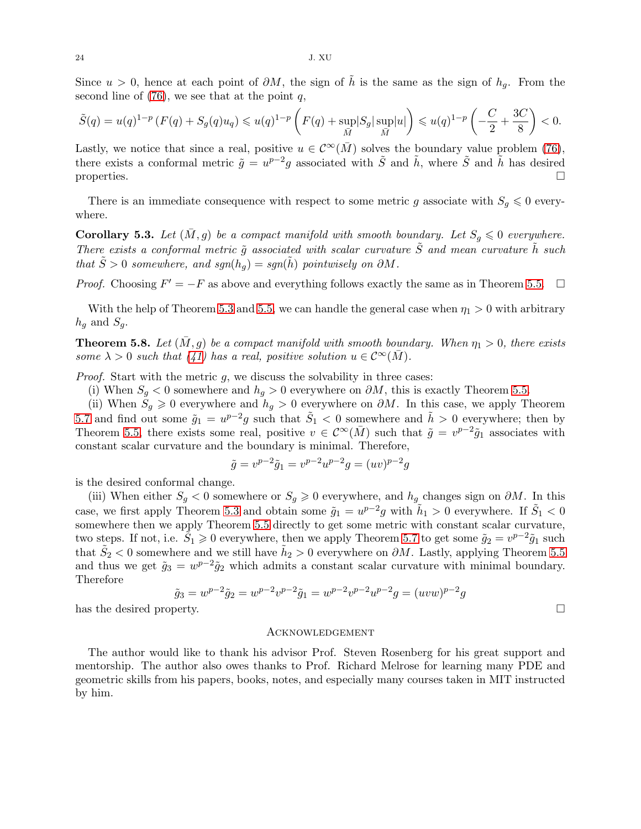Since  $u > 0$ , hence at each point of  $\partial M$ , the sign of  $\tilde{h}$  is the same as the sign of  $h_q$ . From the second line of  $(76)$ , we see that at the point q,

$$
\tilde{S}(q) = u(q)^{1-p} \left( F(q) + S_g(q) u_q \right) \leq u(q)^{1-p} \left( F(q) + \sup_{\bar{M}} |S_g| \sup_{\bar{M}} |u| \right) \leq u(q)^{1-p} \left( -\frac{C}{2} + \frac{3C}{8} \right) < 0.
$$

Lastly, we notice that since a real, positive  $u \in C^{\infty}(\overline{M})$  solves the boundary value problem [\(76\)](#page-22-3), there exists a conformal metric  $\tilde{g} = u^{p-2}g$  associated with  $\tilde{S}$  and  $\tilde{h}$ , where  $\tilde{S}$  and  $\tilde{h}$  has desired properties.  $\Box$ 

There is an immediate consequence with respect to some metric g associate with  $S_q \leq 0$  everywhere.

<span id="page-23-1"></span>**Corollary 5.3.** Let  $(\overline{M}, g)$  be a compact manifold with smooth boundary. Let  $S_q \leq 0$  everywhere. There exists a conformal metric  $\tilde{g}$  associated with scalar curvature  $\tilde{S}$  and mean curvature  $\tilde{h}$  such that  $\tilde{S} > 0$  somewhere, and sgn(h<sub>g</sub>) = sgn(h) pointwisely on  $\partial M$ .

*Proof.* Choosing  $F' = -F$  as above and everything follows exactly the same as in Theorem [5.5.](#page-16-1)  $\Box$ 

With the help of Theorem [5.3](#page-15-0) and [5.5,](#page-16-1) we can handle the general case when  $\eta_1 > 0$  with arbitrary  $h_q$  and  $S_q$ .

<span id="page-23-0"></span>**Theorem 5.8.** Let  $(\bar{M}, g)$  be a compact manifold with smooth boundary. When  $\eta_1 > 0$ , there exists some  $\lambda > 0$  such that [\(41\)](#page-13-2) has a real, positive solution  $u \in C^{\infty}(\overline{M})$ .

*Proof.* Start with the metric  $g$ , we discuss the solvability in three cases:

(i) When  $S_g < 0$  somewhere and  $h_g > 0$  everywhere on  $\partial M$ , this is exactly Theorem [5.5.](#page-16-1)

(ii) When  $\tilde{S}_g \geq 0$  everywhere and  $h_g > 0$  everywhere on  $\partial M$ . In this case, we apply Theorem [5.7](#page-22-0) and find out some  $\tilde{g}_1 = u^{p-2}g$  such that  $\tilde{S}_1 < 0$  somewhere and  $\tilde{h} > 0$  everywhere; then by Theorem [5.5,](#page-16-1) there exists some real, positive  $v \in C^{\infty}(\bar{M})$  such that  $\tilde{g} = v^{p-2}\tilde{g}_1$  associates with constant scalar curvature and the boundary is minimal. Therefore,

$$
\tilde{g} = v^{p-2}\tilde{g}_1 = v^{p-2}u^{p-2}g = (uv)^{p-2}g
$$

is the desired conformal change.

(iii) When either  $S_g < 0$  somewhere or  $S_g \geq 0$  everywhere, and  $h_g$  changes sign on  $\partial M$ . In this case, we first apply Theorem [5.3](#page-15-0) and obtain some  $\tilde{g}_1 = u^{p-2}g$  with  $\tilde{h}_1 > 0$  everywhere. If  $\tilde{S}_1 < 0$ somewhere then we apply Theorem [5.5](#page-16-1) directly to get some metric with constant scalar curvature, two steps. If not, i.e.  $\tilde{S}_1 \geqslant 0$  everywhere, then we apply Theorem [5.7](#page-22-0) to get some  $\tilde{g}_2 = v^{p-2}\tilde{g}_1$  such that  $\tilde{S}_2 < 0$  somewhere and we still have  $\tilde{h}_2 > 0$  everywhere on  $\partial M$ . Lastly, applying Theorem [5.5](#page-16-1) and thus we get  $\tilde{g}_3 = w^{p-2} \tilde{g}_2$  which admits a constant scalar curvature with minimal boundary. Therefore

$$
\tilde{g}_3 = w^{p-2}\tilde{g}_2 = w^{p-2}v^{p-2}\tilde{g}_1 = w^{p-2}v^{p-2}u^{p-2}g = (uvw)^{p-2}g
$$
\nperty.

has the desired prop

### Acknowledgement

The author would like to thank his advisor Prof. Steven Rosenberg for his great support and mentorship. The author also owes thanks to Prof. Richard Melrose for learning many PDE and geometric skills from his papers, books, notes, and especially many courses taken in MIT instructed by him.